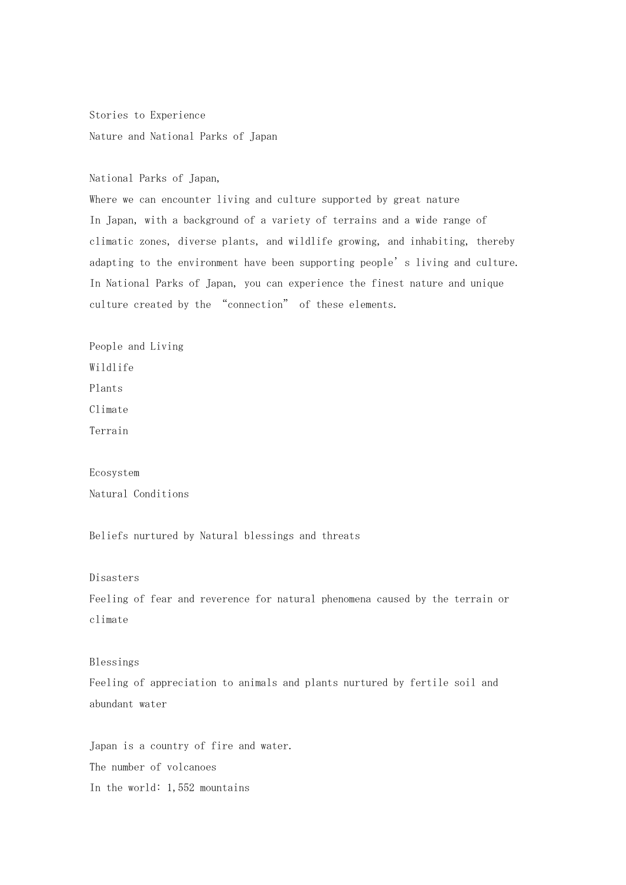Stories to Experience Nature and National Parks of Japan

National Parks of Japan,

Where we can encounter living and culture supported by great nature In Japan, with a background of a variety of terrains and a wide range of climatic zones, diverse plants, and wildlife growing, and inhabiting, thereby adapting to the environment have been supporting people's living and culture. In National Parks of Japan, you can experience the finest nature and unique culture created by the "connection" of these elements.

People and Living Wildlife Plants Climate Terrain

Ecosystem Natural Conditions

Beliefs nurtured by Natural blessings and threats

Disasters

Feeling of fear and reverence for natural phenomena caused by the terrain or climate

# Blessings

Feeling of appreciation to animals and plants nurtured by fertile soil and abundant water

Japan is a country of fire and water. The number of volcanoes In the world: 1,552 mountains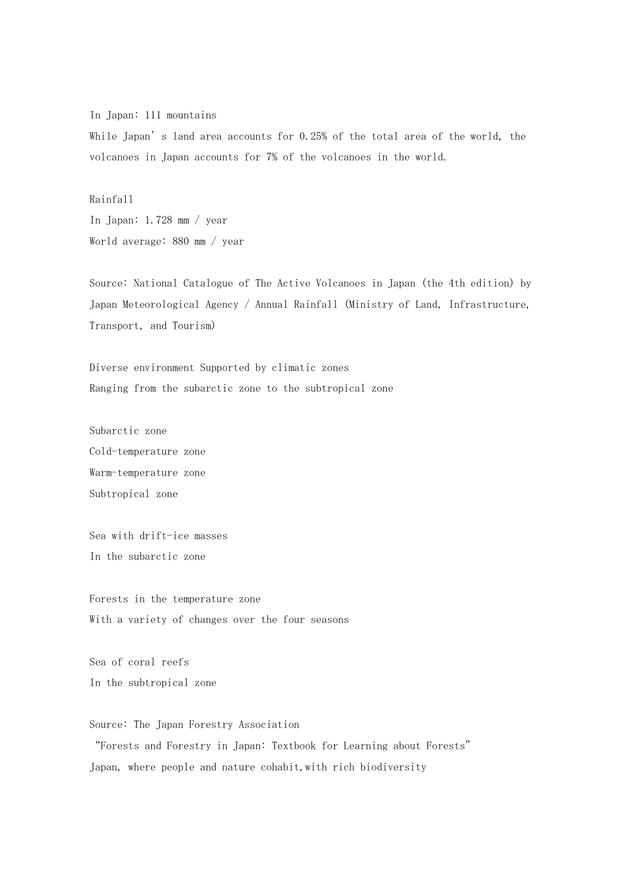In Japan: 111 mountains

While Japan's land area accounts for 0.25% of the total area of the world, the volcanoes in Japan accounts for 7% of the volcanoes in the world.

Rainfall In Japan: 1.728 mm / year World average: 880 mm / year

Source: National Catalogue of The Active Volcanoes in Japan (the 4th edition) by Japan Meteorological Agency / Annual Rainfall (Ministry of Land, Infrastructure, Transport, and Tourism)

Diverse environment Supported by climatic zones Ranging from the subarctic zone to the subtropical zone

Subarctic zone Cold-temperature zone Warm-temperature zone Subtropical zone

Sea with drift-ice masses In the subarctic zone

Forests in the temperature zone With a variety of changes over the four seasons

Sea of coral reefs In the subtropical zone

Source: The Japan Forestry Association "Forests and Forestry in Japan: Textbook for Learning about Forests" Japan, where people and nature cohabit,with rich biodiversity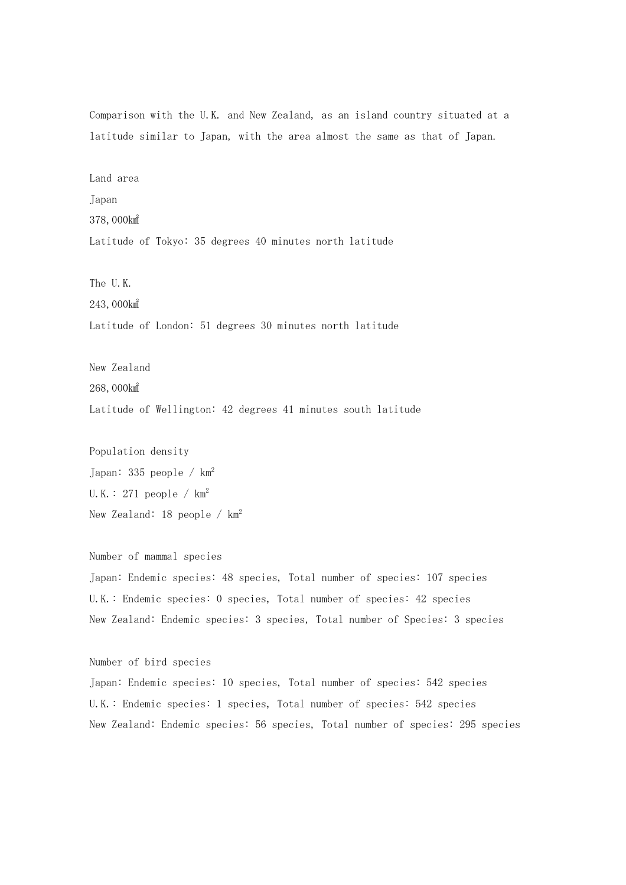Comparison with the U.K. and New Zealand, as an island country situated at a latitude similar to Japan, with the area almost the same as that of Japan.

Land area Japan 378,000㎢ Latitude of Tokyo: 35 degrees 40 minutes north latitude The U.K.

243,000㎢

Latitude of London: 51 degrees 30 minutes north latitude

New Zealand 268,000㎢ Latitude of Wellington: 42 degrees 41 minutes south latitude

Population density Japan: 335 people / km<sup>2</sup> U.K.: 271 people /  $km^2$ New Zealand: 18 people / km<sup>2</sup>

Number of mammal species

Japan: Endemic species: 48 species, Total number of species: 107 species U.K.: Endemic species: 0 species, Total number of species: 42 species New Zealand: Endemic species: 3 species, Total number of Species: 3 species

Number of bird species Japan: Endemic species: 10 species, Total number of species: 542 species U.K.: Endemic species: 1 species, Total number of species: 542 species New Zealand: Endemic species: 56 species, Total number of species: 295 species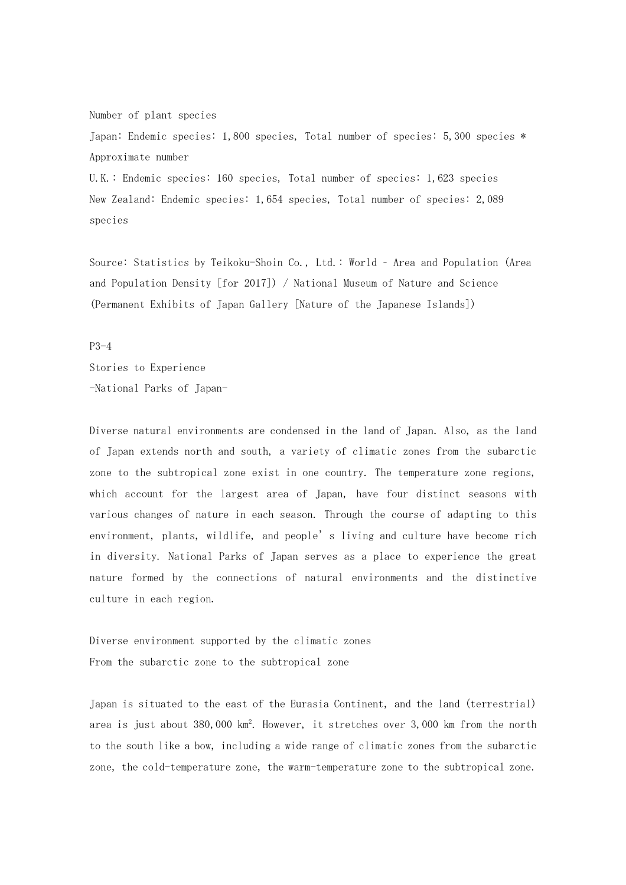Number of plant species

Japan: Endemic species: 1,800 species, Total number of species: 5,300 species \* Approximate number

U.K.: Endemic species: 160 species, Total number of species: 1,623 species New Zealand: Endemic species: 1,654 species, Total number of species: 2,089 species

Source: Statistics by Teikoku-Shoin Co., Ltd.: World – Area and Population (Area and Population Density [for 2017]) / National Museum of Nature and Science (Permanent Exhibits of Japan Gallery [Nature of the Japanese Islands])

P3-4 Stories to Experience -National Parks of Japan-

Diverse natural environments are condensed in the land of Japan. Also, as the land of Japan extends north and south, a variety of climatic zones from the subarctic zone to the subtropical zone exist in one country. The temperature zone regions, which account for the largest area of Japan, have four distinct seasons with various changes of nature in each season. Through the course of adapting to this environment, plants, wildlife, and people's living and culture have become rich in diversity. National Parks of Japan serves as a place to experience the great nature formed by the connections of natural environments and the distinctive culture in each region.

Diverse environment supported by the climatic zones From the subarctic zone to the subtropical zone

Japan is situated to the east of the Eurasia Continent, and the land (terrestrial) area is just about 380,000 km<sup>2</sup>. However, it stretches over 3,000 km from the north to the south like a bow, including a wide range of climatic zones from the subarctic zone, the cold-temperature zone, the warm-temperature zone to the subtropical zone.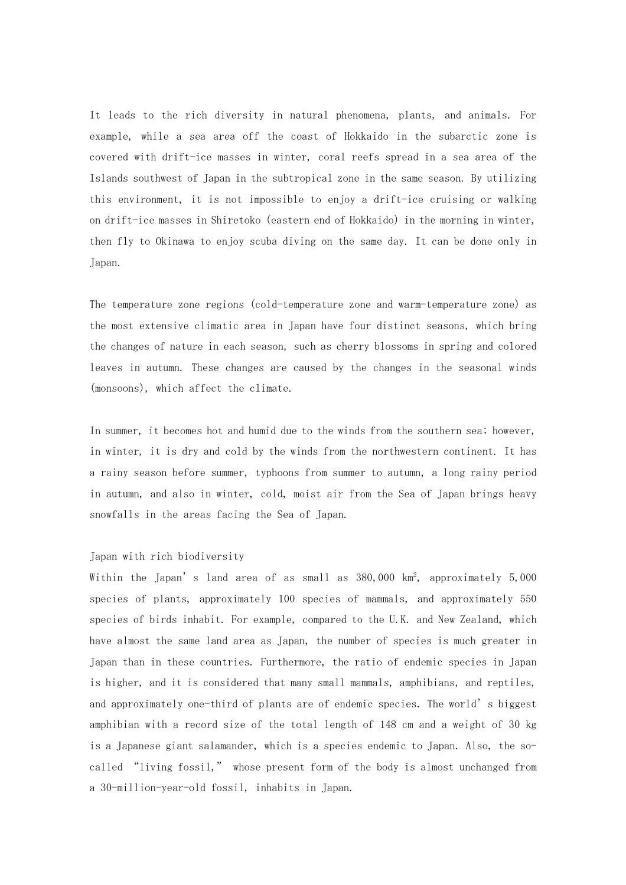It leads to the rich diversity in natural phenomena, plants, and animals. For example, while a sea area off the coast of Hokkaido in the subarctic zone is covered with drift-ice masses in winter, coral reefs spread in a sea area of the Islands southwest of Japan in the subtropical zone in the same season. By utilizing this environment, it is not impossible to enjoy a drift-ice cruising or walking on drift-ice masses in Shiretoko (eastern end of Hokkaido) in the morning in winter, then fly to Okinawa to enjoy scuba diving on the same day. It can be done only in Japan.

The temperature zone regions (cold-temperature zone and warm-temperature zone) as the most extensive climatic area in Japan have four distinct seasons, which bring the changes of nature in each season, such as cherry blossoms in spring and colored leaves in autumn. These changes are caused by the changes in the seasonal winds (monsoons), which affect the climate.

In summer, it becomes hot and humid due to the winds from the southern sea; however, in winter, it is dry and cold by the winds from the northwestern continent. It has a rainy season before summer, typhoons from summer to autumn, a long rainy period in autumn, and also in winter, cold, moist air from the Sea of Japan brings heavy snowfalls in the areas facing the Sea of Japan.

#### Japan with rich biodiversity

Within the Japan's land area of as small as  $380,000$  km<sup>2</sup>, approximately  $5,000$ species of plants, approximately 100 species of mammals, and approximately 550 species of birds inhabit. For example, compared to the U.K. and New Zealand, which have almost the same land area as Japan, the number of species is much greater in Japan than in these countries. Furthermore, the ratio of endemic species in Japan is higher, and it is considered that many small mammals, amphibians, and reptiles, and approximately one-third of plants are of endemic species. The world's biggest amphibian with a record size of the total length of 148 cm and a weight of 30 kg is a Japanese giant salamander, which is a species endemic to Japan. Also, the socalled "living fossil," whose present form of the body is almost unchanged from a 30-million-year-old fossil, inhabits in Japan.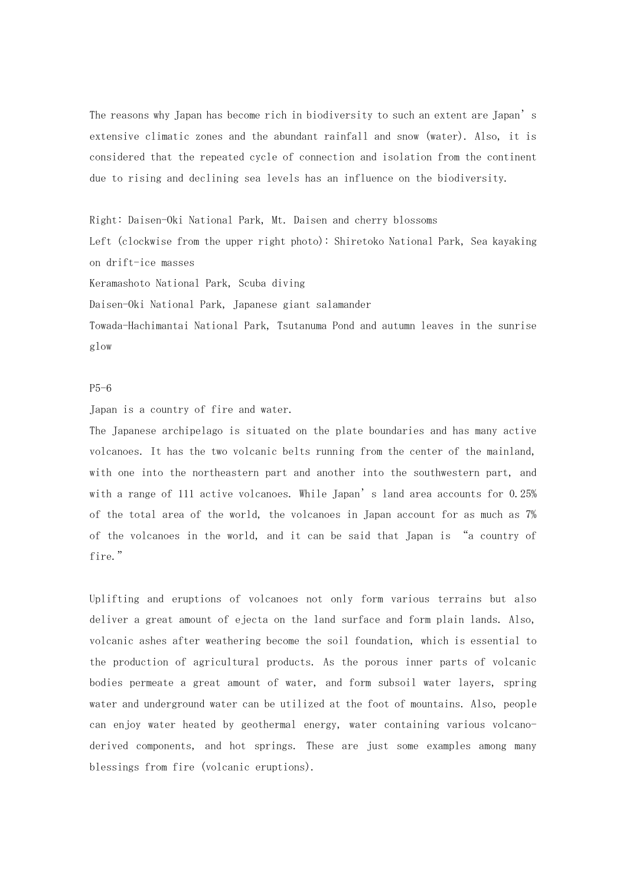The reasons why Japan has become rich in biodiversity to such an extent are Japan's extensive climatic zones and the abundant rainfall and snow (water). Also, it is considered that the repeated cycle of connection and isolation from the continent due to rising and declining sea levels has an influence on the biodiversity.

Right: Daisen-Oki National Park, Mt. Daisen and cherry blossoms

Left (clockwise from the upper right photo): Shiretoko National Park, Sea kayaking on drift-ice masses

Keramashoto National Park, Scuba diving

Daisen-Oki National Park, Japanese giant salamander

Towada-Hachimantai National Park, Tsutanuma Pond and autumn leaves in the sunrise glow

## P5-6

Japan is a country of fire and water.

The Japanese archipelago is situated on the plate boundaries and has many active volcanoes. It has the two volcanic belts running from the center of the mainland, with one into the northeastern part and another into the southwestern part, and with a range of 111 active volcanoes. While Japan's land area accounts for 0.25% of the total area of the world, the volcanoes in Japan account for as much as 7% of the volcanoes in the world, and it can be said that Japan is "a country of fire."

Uplifting and eruptions of volcanoes not only form various terrains but also deliver a great amount of ejecta on the land surface and form plain lands. Also, volcanic ashes after weathering become the soil foundation, which is essential to the production of agricultural products. As the porous inner parts of volcanic bodies permeate a great amount of water, and form subsoil water layers, spring water and underground water can be utilized at the foot of mountains. Also, people can enjoy water heated by geothermal energy, water containing various volcanoderived components, and hot springs. These are just some examples among many blessings from fire (volcanic eruptions).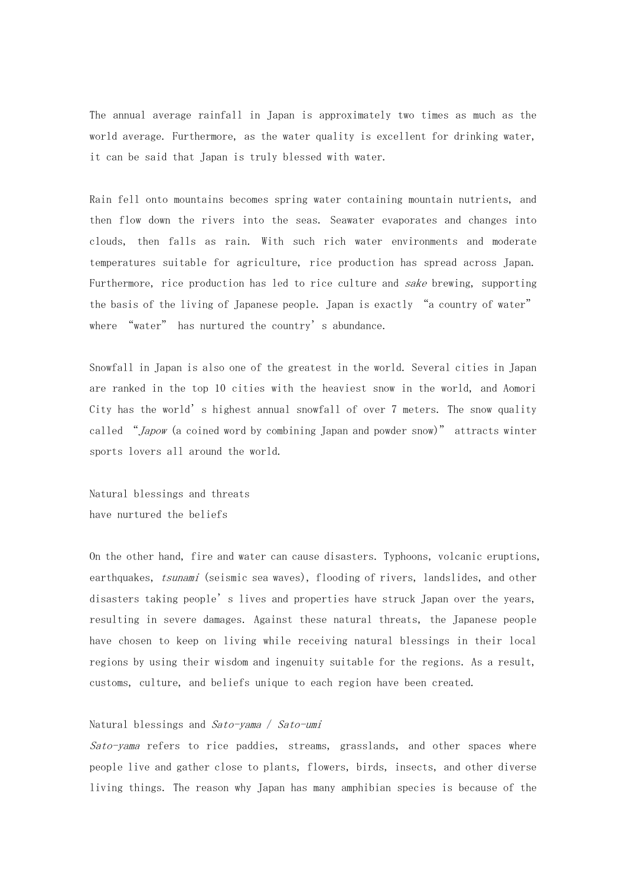The annual average rainfall in Japan is approximately two times as much as the world average. Furthermore, as the water quality is excellent for drinking water, it can be said that Japan is truly blessed with water.

Rain fell onto mountains becomes spring water containing mountain nutrients, and then flow down the rivers into the seas. Seawater evaporates and changes into clouds, then falls as rain. With such rich water environments and moderate temperatures suitable for agriculture, rice production has spread across Japan. Furthermore, rice production has led to rice culture and *sake* brewing, supporting the basis of the living of Japanese people. Japan is exactly "a country of water" where "water" has nurtured the country's abundance.

Snowfall in Japan is also one of the greatest in the world. Several cities in Japan are ranked in the top 10 cities with the heaviest snow in the world, and Aomori City has the world's highest annual snowfall of over 7 meters. The snow quality called "Japow (a coined word by combining Japan and powder snow)" attracts winter sports lovers all around the world.

Natural blessings and threats have nurtured the beliefs

On the other hand, fire and water can cause disasters. Typhoons, volcanic eruptions, earthquakes, *tsunami* (seismic sea waves), flooding of rivers, landslides, and other disasters taking people's lives and properties have struck Japan over the years, resulting in severe damages. Against these natural threats, the Japanese people have chosen to keep on living while receiving natural blessings in their local regions by using their wisdom and ingenuity suitable for the regions. As a result, customs, culture, and beliefs unique to each region have been created.

#### Natural blessings and Sato-yama / Sato-umi

Sato-yama refers to rice paddies, streams, grasslands, and other spaces where people live and gather close to plants, flowers, birds, insects, and other diverse living things. The reason why Japan has many amphibian species is because of the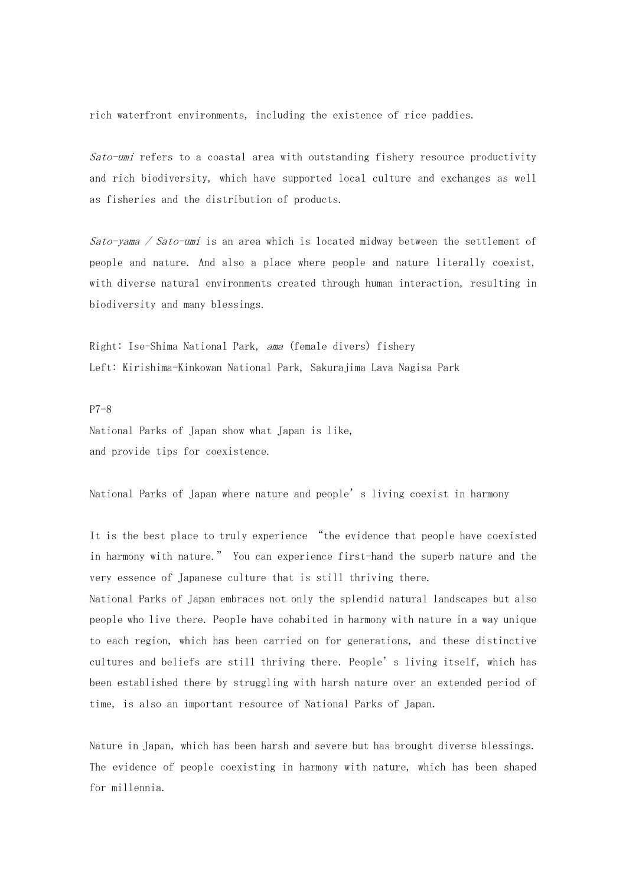rich waterfront environments, including the existence of rice paddies.

 $Sato$ -umi refers to a coastal area with outstanding fishery resource productivity and rich biodiversity, which have supported local culture and exchanges as well as fisheries and the distribution of products.

Sato-yama / Sato-umi is an area which is located midway between the settlement of people and nature. And also a place where people and nature literally coexist, with diverse natural environments created through human interaction, resulting in biodiversity and many blessings.

Right: Ise-Shima National Park, ama (female divers) fishery Left: Kirishima-Kinkowan National Park, Sakurajima Lava Nagisa Park

P7-8 National Parks of Japan show what Japan is like, and provide tips for coexistence.

National Parks of Japan where nature and people's living coexist in harmony

It is the best place to truly experience "the evidence that people have coexisted in harmony with nature." You can experience first-hand the superb nature and the very essence of Japanese culture that is still thriving there. National Parks of Japan embraces not only the splendid natural landscapes but also people who live there. People have cohabited in harmony with nature in a way unique to each region, which has been carried on for generations, and these distinctive cultures and beliefs are still thriving there. People's living itself, which has been established there by struggling with harsh nature over an extended period of time, is also an important resource of National Parks of Japan.

Nature in Japan, which has been harsh and severe but has brought diverse blessings. The evidence of people coexisting in harmony with nature, which has been shaped for millennia.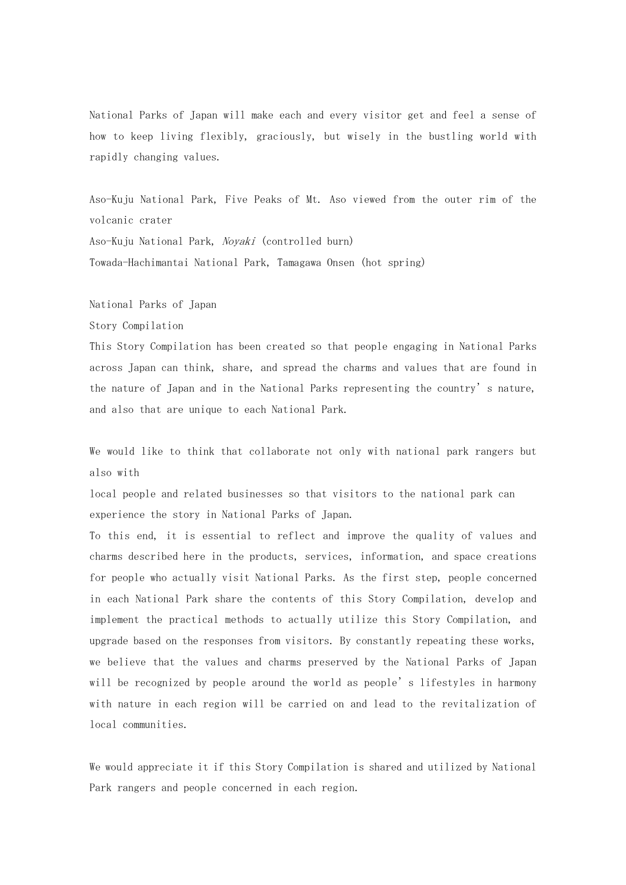National Parks of Japan will make each and every visitor get and feel a sense of how to keep living flexibly, graciously, but wisely in the bustling world with rapidly changing values.

Aso-Kuju National Park, Five Peaks of Mt. Aso viewed from the outer rim of the volcanic crater Aso-Kuju National Park, Noyaki (controlled burn) Towada-Hachimantai National Park, Tamagawa Onsen (hot spring)

National Parks of Japan

Story Compilation

This Story Compilation has been created so that people engaging in National Parks across Japan can think, share, and spread the charms and values that are found in the nature of Japan and in the National Parks representing the country's nature, and also that are unique to each National Park.

We would like to think that collaborate not only with national park rangers but also with

local people and related businesses so that visitors to the national park can experience the story in National Parks of Japan.

To this end, it is essential to reflect and improve the quality of values and charms described here in the products, services, information, and space creations for people who actually visit National Parks. As the first step, people concerned in each National Park share the contents of this Story Compilation, develop and implement the practical methods to actually utilize this Story Compilation, and upgrade based on the responses from visitors. By constantly repeating these works, we believe that the values and charms preserved by the National Parks of Japan will be recognized by people around the world as people's lifestyles in harmony with nature in each region will be carried on and lead to the revitalization of local communities.

We would appreciate it if this Story Compilation is shared and utilized by National Park rangers and people concerned in each region.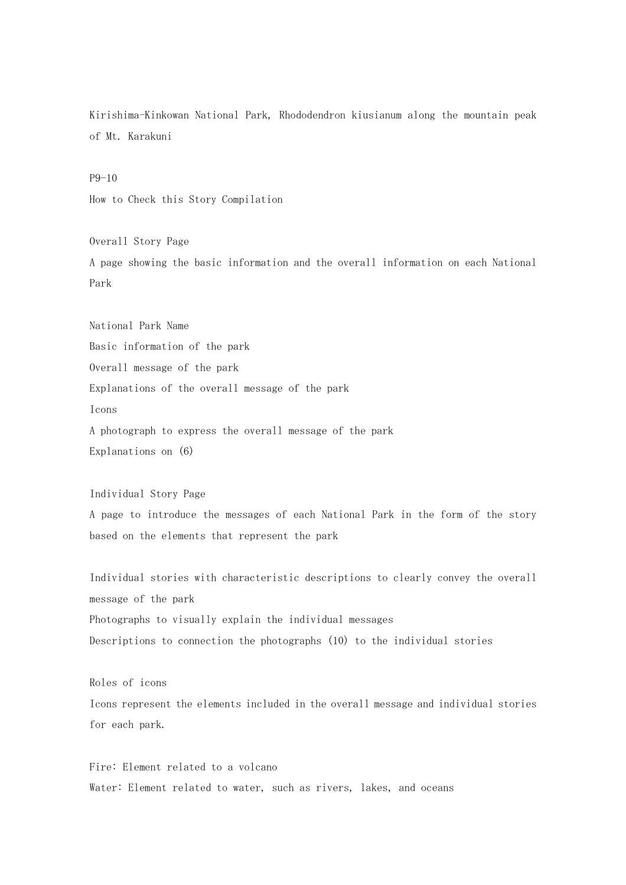Kirishima-Kinkowan National Park, Rhododendron kiusianum along the mountain peak of Mt. Karakuni

## P9-10

How to Check this Story Compilation

Overall Story Page A page showing the basic information and the overall information on each National Park

National Park Name Basic information of the park Overall message of the park Explanations of the overall message of the park Icons A photograph to express the overall message of the park Explanations on (6)

Individual Story Page

A page to introduce the messages of each National Park in the form of the story based on the elements that represent the park

Individual stories with characteristic descriptions to clearly convey the overall message of the park Photographs to visually explain the individual messages Descriptions to connection the photographs (10) to the individual stories

Roles of icons Icons represent the elements included in the overall message and individual stories for each park.

Fire: Element related to a volcano Water: Element related to water, such as rivers, lakes, and oceans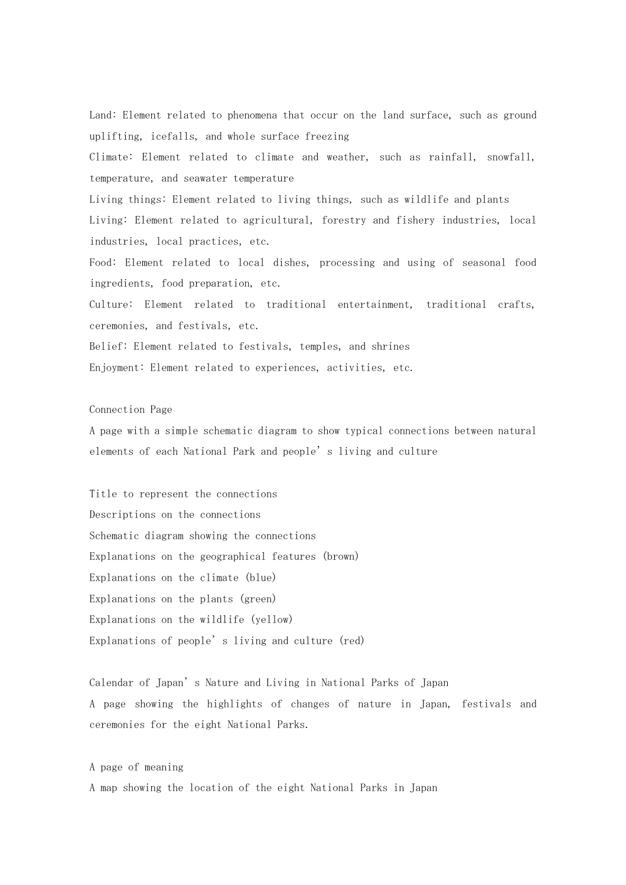Land: Element related to phenomena that occur on the land surface, such as ground uplifting, icefalls, and whole surface freezing Climate: Element related to climate and weather, such as rainfall, snowfall, temperature, and seawater temperature Living things: Element related to living things, such as wildlife and plants Living: Element related to agricultural, forestry and fishery industries, local industries, local practices, etc. Food: Element related to local dishes, processing and using of seasonal food ingredients, food preparation, etc. Culture: Element related to traditional entertainment, traditional crafts, ceremonies, and festivals, etc. Belief: Element related to festivals, temples, and shrines Enjoyment: Element related to experiences, activities, etc.

## Connection Page

A page with a simple schematic diagram to show typical connections between natural elements of each National Park and people's living and culture

Title to represent the connections Descriptions on the connections Schematic diagram showing the connections Explanations on the geographical features (brown) Explanations on the climate (blue) Explanations on the plants (green) Explanations on the wildlife (yellow) Explanations of people's living and culture (red)

Calendar of Japan's Nature and Living in National Parks of Japan A page showing the highlights of changes of nature in Japan, festivals and ceremonies for the eight National Parks.

A page of meaning A map showing the location of the eight National Parks in Japan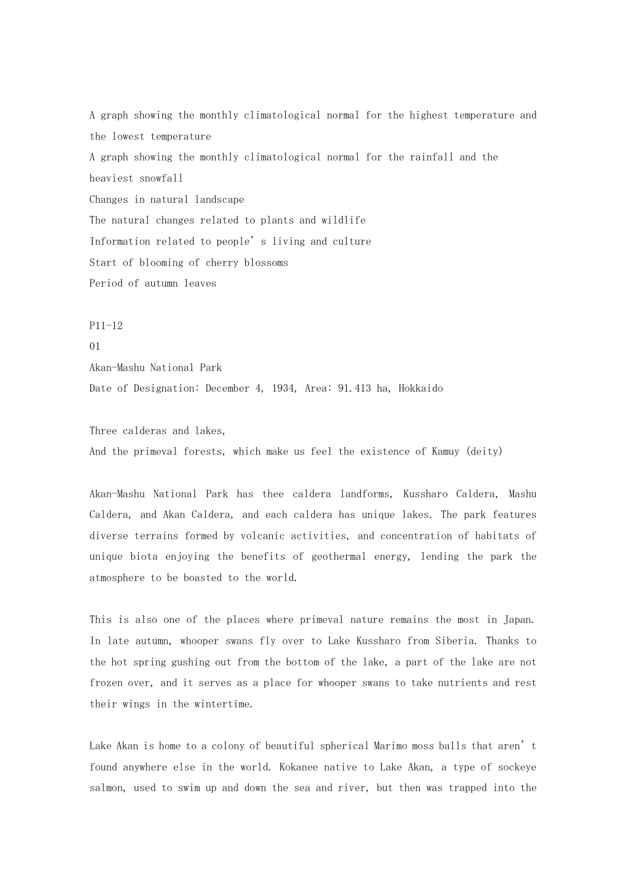A graph showing the monthly climatological normal for the highest temperature and the lowest temperature A graph showing the monthly climatological normal for the rainfall and the heaviest snowfall Changes in natural landscape The natural changes related to plants and wildlife Information related to people's living and culture Start of blooming of cherry blossoms Period of autumn leaves

P11-12 01 Akan-Mashu National Park Date of Designation: December 4, 1934, Area: 91.413 ha, Hokkaido

Three calderas and lakes, And the primeval forests, which make us feel the existence of Kamuy (deity)

Akan-Mashu National Park has thee caldera landforms, Kussharo Caldera, Mashu Caldera, and Akan Caldera, and each caldera has unique lakes. The park features diverse terrains formed by volcanic activities, and concentration of habitats of unique biota enjoying the benefits of geothermal energy, lending the park the atmosphere to be boasted to the world.

This is also one of the places where primeval nature remains the most in Japan. In late autumn, whooper swans fly over to Lake Kussharo from Siberia. Thanks to the hot spring gushing out from the bottom of the lake, a part of the lake are not frozen over, and it serves as a place for whooper swans to take nutrients and rest their wings in the wintertime.

Lake Akan is home to a colony of beautiful spherical Marimo moss balls that aren't found anywhere else in the world. Kokanee native to Lake Akan, a type of sockeye salmon, used to swim up and down the sea and river, but then was trapped into the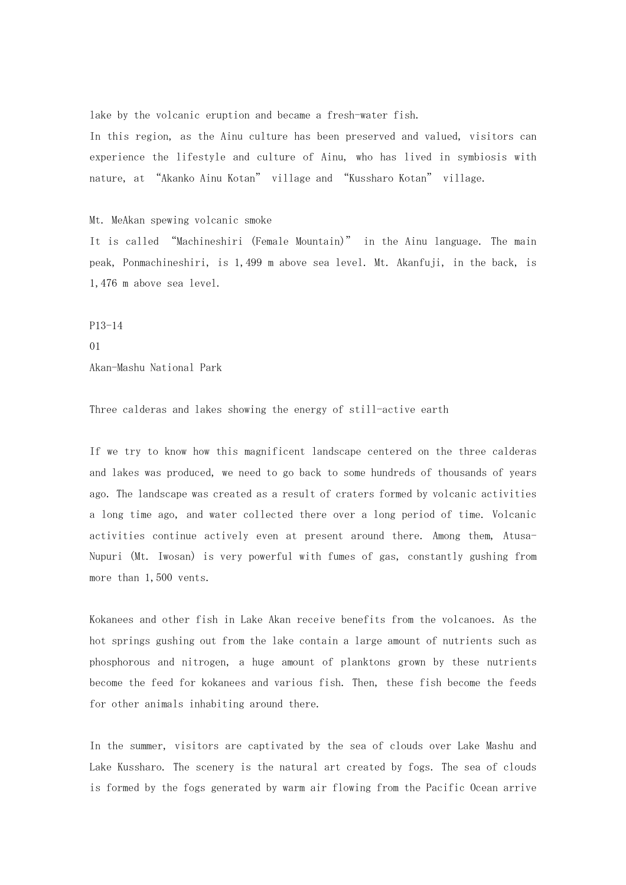lake by the volcanic eruption and became a fresh-water fish.

In this region, as the Ainu culture has been preserved and valued, visitors can experience the lifestyle and culture of Ainu, who has lived in symbiosis with nature, at "Akanko Ainu Kotan" village and "Kussharo Kotan" village.

Mt. MeAkan spewing volcanic smoke

It is called "Machineshiri (Female Mountain)" in the Ainu language. The main peak, Ponmachineshiri, is 1,499 m above sea level. Mt. Akanfuji, in the back, is 1,476 m above sea level.

P13-14 01 Akan-Mashu National Park

Three calderas and lakes showing the energy of still-active earth

If we try to know how this magnificent landscape centered on the three calderas and lakes was produced, we need to go back to some hundreds of thousands of years ago. The landscape was created as a result of craters formed by volcanic activities a long time ago, and water collected there over a long period of time. Volcanic activities continue actively even at present around there. Among them, Atusa-Nupuri (Mt. Iwosan) is very powerful with fumes of gas, constantly gushing from more than 1,500 vents.

Kokanees and other fish in Lake Akan receive benefits from the volcanoes. As the hot springs gushing out from the lake contain a large amount of nutrients such as phosphorous and nitrogen, a huge amount of planktons grown by these nutrients become the feed for kokanees and various fish. Then, these fish become the feeds for other animals inhabiting around there.

In the summer, visitors are captivated by the sea of clouds over Lake Mashu and Lake Kussharo. The scenery is the natural art created by fogs. The sea of clouds is formed by the fogs generated by warm air flowing from the Pacific Ocean arrive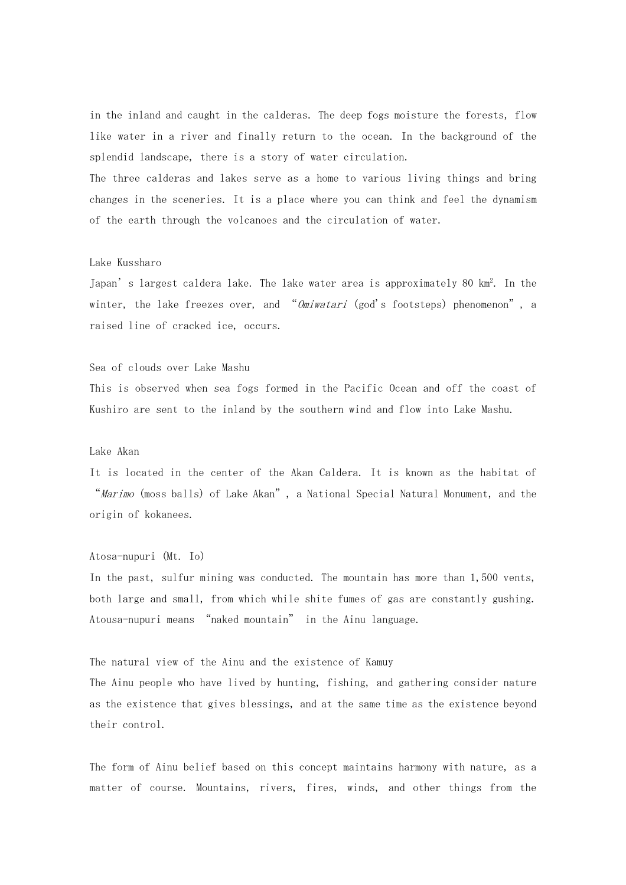in the inland and caught in the calderas. The deep fogs moisture the forests, flow like water in a river and finally return to the ocean. In the background of the splendid landscape, there is a story of water circulation.

The three calderas and lakes serve as a home to various living things and bring changes in the sceneries. It is a place where you can think and feel the dynamism of the earth through the volcanoes and the circulation of water.

### Lake Kussharo

Japan's largest caldera lake. The lake water area is approximately 80 km<sup>2</sup> . In the winter, the lake freezes over, and "Omiwatari (god's footsteps) phenomenon", a raised line of cracked ice, occurs.

## Sea of clouds over Lake Mashu

This is observed when sea fogs formed in the Pacific Ocean and off the coast of Kushiro are sent to the inland by the southern wind and flow into Lake Mashu.

#### Lake Akan

It is located in the center of the Akan Caldera. It is known as the habitat of "Marimo (moss balls) of Lake Akan", a National Special Natural Monument, and the origin of kokanees.

## Atosa-nupuri (Mt. Io)

In the past, sulfur mining was conducted. The mountain has more than 1,500 vents, both large and small, from which while shite fumes of gas are constantly gushing. Atousa-nupuri means "naked mountain" in the Ainu language.

## The natural view of the Ainu and the existence of Kamuy

The Ainu people who have lived by hunting, fishing, and gathering consider nature as the existence that gives blessings, and at the same time as the existence beyond their control.

The form of Ainu belief based on this concept maintains harmony with nature, as a matter of course. Mountains, rivers, fires, winds, and other things from the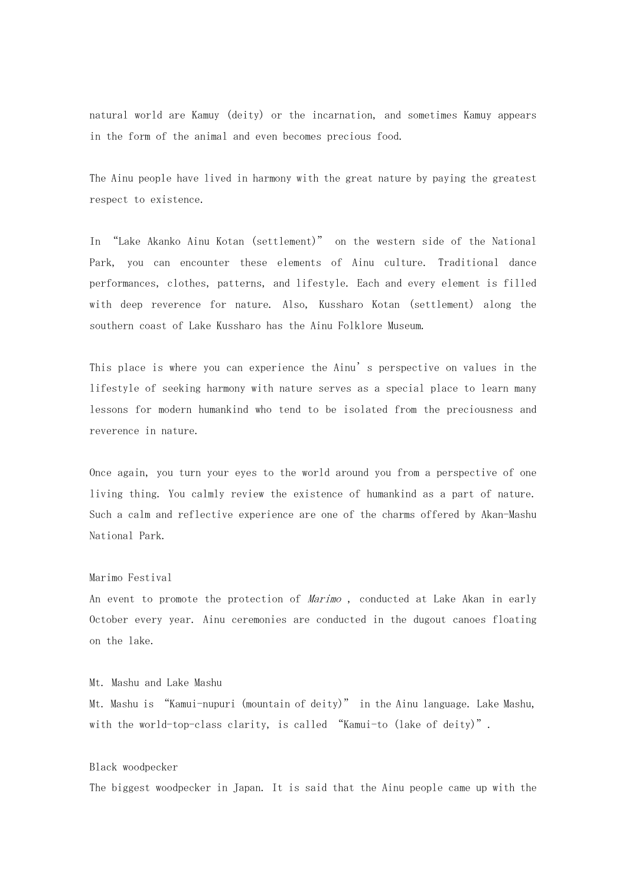natural world are Kamuy (deity) or the incarnation, and sometimes Kamuy appears in the form of the animal and even becomes precious food.

The Ainu people have lived in harmony with the great nature by paying the greatest respect to existence.

In "Lake Akanko Ainu Kotan (settlement)" on the western side of the National Park, you can encounter these elements of Ainu culture. Traditional dance performances, clothes, patterns, and lifestyle. Each and every element is filled with deep reverence for nature. Also, Kussharo Kotan (settlement) along the southern coast of Lake Kussharo has the Ainu Folklore Museum.

This place is where you can experience the Ainu's perspective on values in the lifestyle of seeking harmony with nature serves as a special place to learn many lessons for modern humankind who tend to be isolated from the preciousness and reverence in nature.

Once again, you turn your eyes to the world around you from a perspective of one living thing. You calmly review the existence of humankind as a part of nature. Such a calm and reflective experience are one of the charms offered by Akan-Mashu National Park.

#### Marimo Festival

An event to promote the protection of *Marimo*, conducted at Lake Akan in early October every year. Ainu ceremonies are conducted in the dugout canoes floating on the lake.

Mt. Mashu and Lake Mashu

Mt. Mashu is "Kamui-nupuri (mountain of deity)" in the Ainu language. Lake Mashu, with the world-top-class clarity, is called "Kamui-to (lake of deity)".

## Black woodpecker

The biggest woodpecker in Japan. It is said that the Ainu people came up with the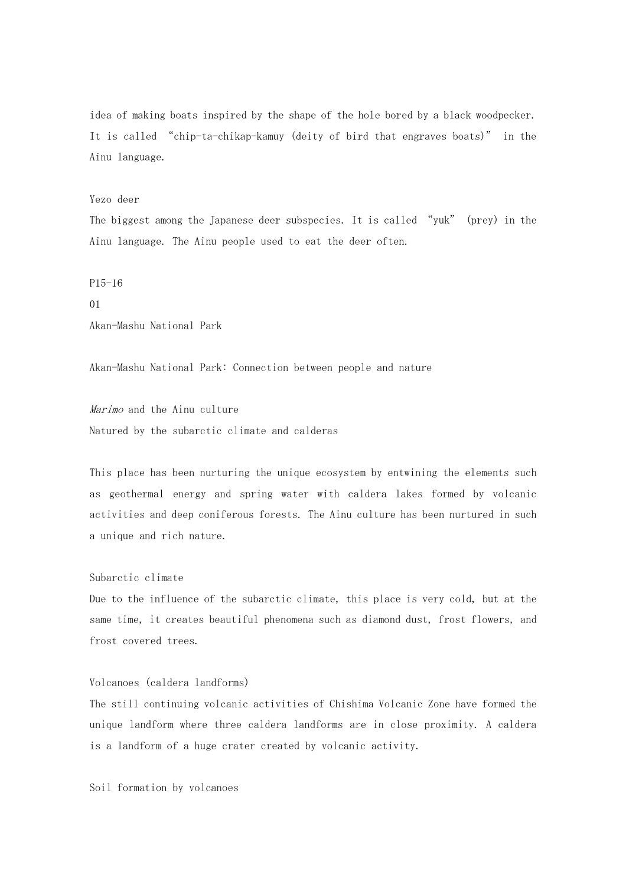idea of making boats inspired by the shape of the hole bored by a black woodpecker. It is called "chip-ta-chikap-kamuy (deity of bird that engraves boats)" in the Ainu language.

#### Yezo deer

The biggest among the Japanese deer subspecies. It is called "yuk" (prey) in the Ainu language. The Ainu people used to eat the deer often.

P15-16

01 Akan-Mashu National Park

Akan-Mashu National Park: Connection between people and nature

Marimo and the Ainu culture Natured by the subarctic climate and calderas

This place has been nurturing the unique ecosystem by entwining the elements such as geothermal energy and spring water with caldera lakes formed by volcanic activities and deep coniferous forests. The Ainu culture has been nurtured in such a unique and rich nature.

#### Subarctic climate

Due to the influence of the subarctic climate, this place is very cold, but at the same time, it creates beautiful phenomena such as diamond dust, frost flowers, and frost covered trees.

Volcanoes (caldera landforms)

The still continuing volcanic activities of Chishima Volcanic Zone have formed the unique landform where three caldera landforms are in close proximity. A caldera is a landform of a huge crater created by volcanic activity.

Soil formation by volcanoes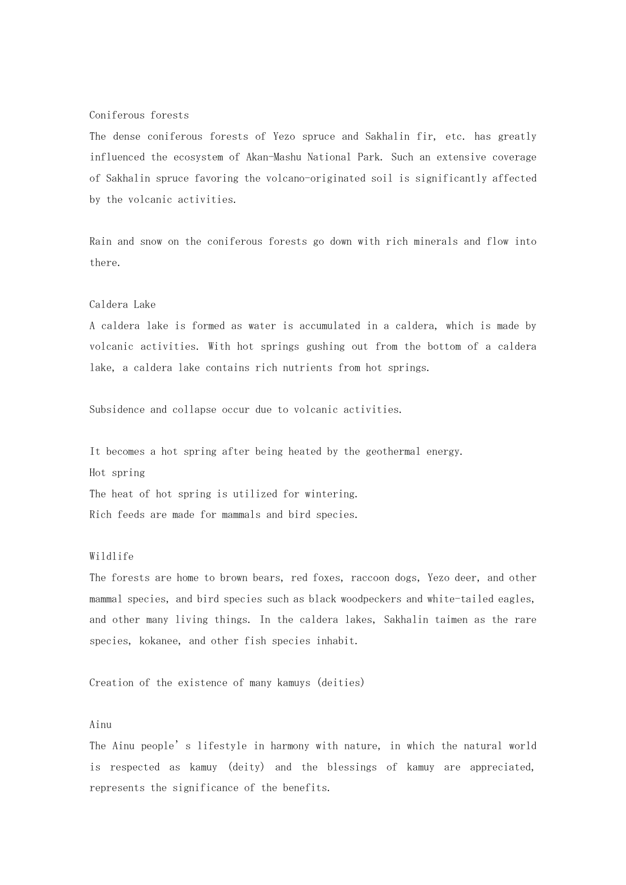#### Coniferous forests

The dense coniferous forests of Yezo spruce and Sakhalin fir, etc. has greatly influenced the ecosystem of Akan-Mashu National Park. Such an extensive coverage of Sakhalin spruce favoring the volcano-originated soil is significantly affected by the volcanic activities.

Rain and snow on the coniferous forests go down with rich minerals and flow into there.

### Caldera Lake

A caldera lake is formed as water is accumulated in a caldera, which is made by volcanic activities. With hot springs gushing out from the bottom of a caldera lake, a caldera lake contains rich nutrients from hot springs.

Subsidence and collapse occur due to volcanic activities.

It becomes a hot spring after being heated by the geothermal energy. Hot spring The heat of hot spring is utilized for wintering. Rich feeds are made for mammals and bird species.

## Wildlife

The forests are home to brown bears, red foxes, raccoon dogs, Yezo deer, and other mammal species, and bird species such as black woodpeckers and white-tailed eagles, and other many living things. In the caldera lakes, Sakhalin taimen as the rare species, kokanee, and other fish species inhabit.

Creation of the existence of many kamuys (deities)

#### Ainu

The Ainu people's lifestyle in harmony with nature, in which the natural world is respected as kamuy (deity) and the blessings of kamuy are appreciated, represents the significance of the benefits.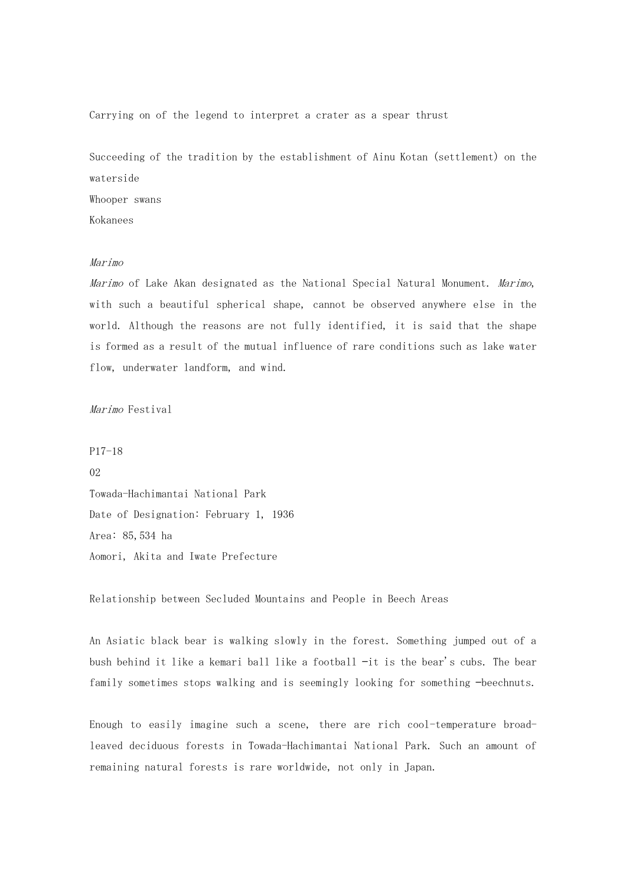Carrying on of the legend to interpret a crater as a spear thrust

Succeeding of the tradition by the establishment of Ainu Kotan (settlement) on the waterside Whooper swans Kokanees

## Marimo

Marimo of Lake Akan designated as the National Special Natural Monument. *Marimo*, with such a beautiful spherical shape, cannot be observed anywhere else in the world. Although the reasons are not fully identified, it is said that the shape is formed as a result of the mutual influence of rare conditions such as lake water flow, underwater landform, and wind.

Marimo Festival

P17-18 02 Towada-Hachimantai National Park Date of Designation: February 1, 1936 Area: 85,534 ha Aomori, Akita and Iwate Prefecture

Relationship between Secluded Mountains and People in Beech Areas

An Asiatic black bear is walking slowly in the forest. Something jumped out of a bush behind it like a kemari ball like a football —it is the bear's cubs. The bear family sometimes stops walking and is seemingly looking for something —beechnuts.

Enough to easily imagine such a scene, there are rich cool-temperature broadleaved deciduous forests in Towada-Hachimantai National Park. Such an amount of remaining natural forests is rare worldwide, not only in Japan.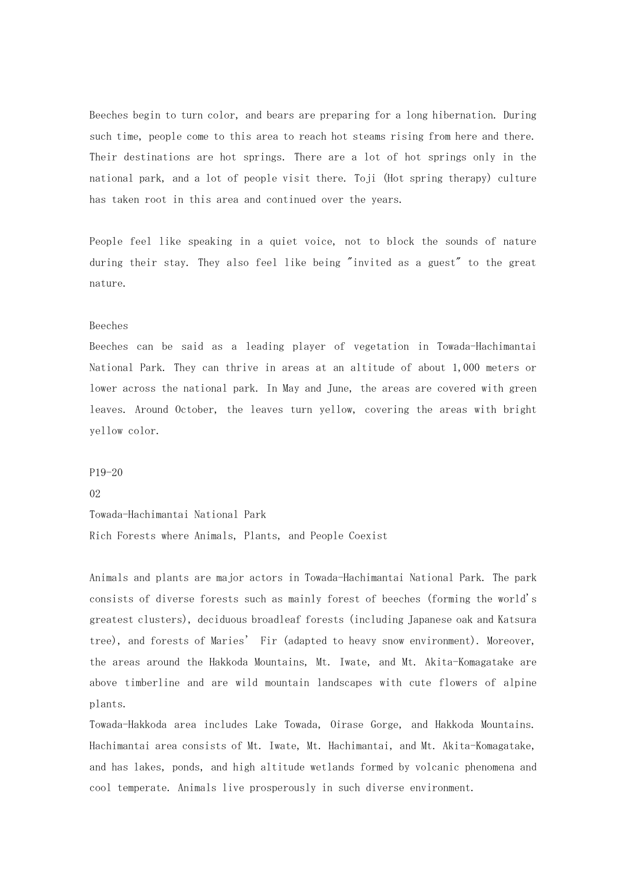Beeches begin to turn color, and bears are preparing for a long hibernation. During such time, people come to this area to reach hot steams rising from here and there. Their destinations are hot springs. There are a lot of hot springs only in the national park, and a lot of people visit there. Toji (Hot spring therapy) culture has taken root in this area and continued over the years.

People feel like speaking in a quiet voice, not to block the sounds of nature during their stay. They also feel like being "invited as a guest" to the great nature.

#### [Beeches](https://eow.alc.co.jp/search?q=fagaceae&ref=awlj)

Beeches can be said as a leading player of vegetation in Towada-Hachimantai National Park. They can thrive in areas at an altitude of about 1,000 meters or lower across the national park. In May and June, the areas are covered with green leaves. Around October, the leaves turn yellow, covering the areas with bright yellow color.

P19-20 02 Towada-Hachimantai National Park Rich Forests where Animals, Plants, and People Coexist

Animals and plants are major actors in Towada-Hachimantai National Park. The park consists of diverse forests such as mainly forest of beeches (forming the world's greatest clusters), deciduous broadleaf forests (including Japanese oak and Katsura tree), and forests of Maries' Fir (adapted to heavy snow environment). Moreover, the areas around the Hakkoda Mountains, Mt. Iwate, and Mt. Akita-Komagatake are above timberline and are wild mountain landscapes with cute flowers of alpine plants.

Towada-Hakkoda area includes Lake Towada, Oirase Gorge, and Hakkoda Mountains. Hachimantai area consists of Mt. Iwate, Mt. Hachimantai, and Mt. Akita-Komagatake, and has lakes, ponds, and high altitude wetlands formed by volcanic phenomena and cool temperate. Animals live prosperously in such diverse environment.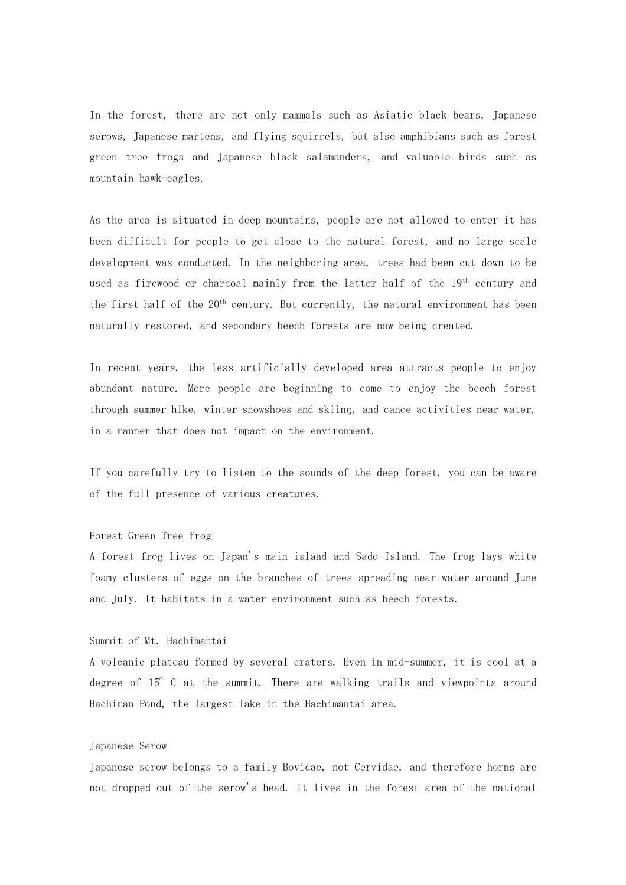In the forest, there are not only mammals such as Asiatic black bears, Japanese serows, Japanese martens, and flying squirrels, but also amphibians such as forest green tree frogs and Japanese black salamanders, and valuable birds such as mountain hawk-eagles.

As the area is situated in deep mountains, people are not allowed to enter it has been difficult for people to get close to the natural forest, and no large scale development was conducted. In the neighboring area, trees had been cut down to be used as firewood or charcoal mainly from the latter half of the 19<sup>th</sup> century and the first half of the 20<sup>th</sup> century. But currently, the natural environment has been naturally restored, and secondary beech forests are now being created.

In recent years, the less artificially developed area attracts people to enjoy abundant nature. More people are beginning to come to enjoy the beech forest through summer hike, winter snowshoes and skiing, and canoe activities near water, in a manner that does not impact on the environment.

If you carefully try to listen to the sounds of the deep forest, you can be aware of the full presence of various creatures.

### Forest Green Tree frog

A forest frog lives on Japan's main island and Sado Island. The frog lays white foamy clusters of eggs on the branches of trees spreading near water around June and July. It habitats in a water environment such as beech forests.

#### Summit of Mt. Hachimantai

A volcanic plateau formed by several craters. Even in mid-summer, it is cool at a degree of 15°C at the summit. There are walking trails and viewpoints around Hachiman Pond, the largest lake in the Hachimantai area.

#### Japanese Serow

Japanese serow belongs to a family Bovidae, not Cervidae, and therefore horns are not dropped out of the serow's head. It lives in the forest area of the national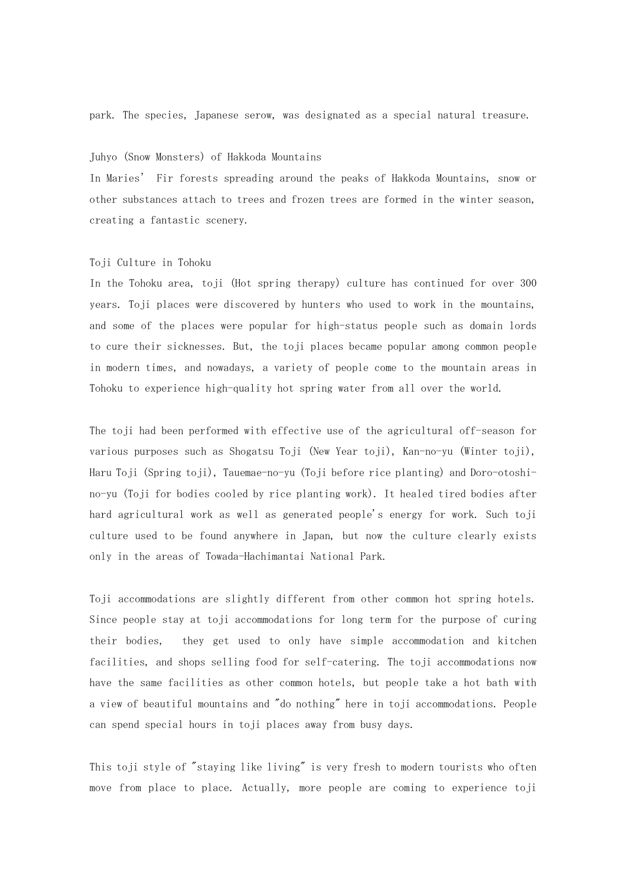park. The species, Japanese serow, was designated as a special natural treasure.

#### Juhyo (Snow Monsters) of Hakkoda Mountains

In Maries' Fir forests spreading around the peaks of Hakkoda Mountains, snow or other substances attach to trees and frozen trees are formed in the winter season, creating a fantastic scenery.

### Toji Culture in Tohoku

In the Tohoku area, toji (Hot spring therapy) culture has continued for over 300 years. Toji places were discovered by hunters who used to work in the mountains, and some of the places were popular for high-status people such as domain lords to cure their sicknesses. But, the toji places became popular among common people in modern times, and nowadays, a variety of people come to the mountain areas in Tohoku to experience high-quality hot spring water from all over the world.

The toji had been performed with effective use of the agricultural off-season for various purposes such as Shogatsu Toji (New Year toji), Kan-no-yu (Winter toji), Haru Toji (Spring toji), Tauemae-no-yu (Toji before rice planting) and Doro-otoshino-yu (Toji for bodies cooled by rice planting work). It healed tired bodies after hard agricultural work as well as generated people's energy for work. Such toji culture used to be found anywhere in Japan, but now the culture clearly exists only in the areas of Towada-Hachimantai National Park.

Toji accommodations are slightly different from other common hot spring hotels. Since people stay at toji accommodations for long term for the purpose of curing their bodies, they get used to only have simple accommodation and kitchen facilities, and shops selling food for self-catering. The toji accommodations now have the same facilities as other common hotels, but people take a hot bath with a view of beautiful mountains and "do nothing" here in toji accommodations. People can spend special hours in toji places away from busy days.

This toji style of "staying like living" is very fresh to modern tourists who often move from place to place. Actually, more people are coming to experience toji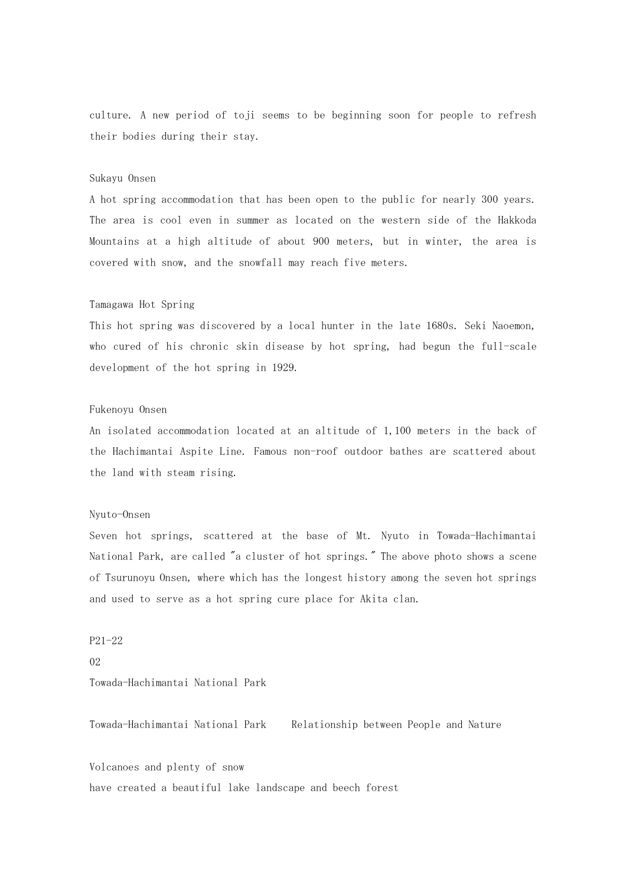culture. A new period of toji seems to be beginning soon for people to refresh their bodies during their stay.

# Sukayu Onsen

A hot spring accommodation that has been open to the public for nearly 300 years. The area is cool even in summer as located on the western side of the Hakkoda Mountains at a high altitude of about 900 meters, but in winter, the area is covered with snow, and the snowfall may reach five meters.

#### Tamagawa Hot Spring

This hot spring was discovered by a local hunter in the late 1680s. Seki Naoemon, who cured of his chronic skin disease by hot spring, had begun the full-scale development of the hot spring in 1929.

## Fukenoyu Onsen

An isolated accommodation located at an altitude of 1,100 meters in the back of the Hachimantai Aspite Line. Famous non-roof outdoor bathes are scattered about the land with steam rising.

## Nyuto-Onsen

Seven hot springs, scattered at the base of Mt. Nyuto in Towada-Hachimantai National Park, are called "a cluster of hot springs." The above photo shows a scene of Tsurunoyu Onsen, where which has the longest history among the seven hot springs and used to serve as a hot spring cure place for Akita clan.

P21-22 02 Towada-Hachimantai National Park

Towada-Hachimantai National Park Relationship between People and Nature

Volcanoes and plenty of snow have created a beautiful lake landscape and beech forest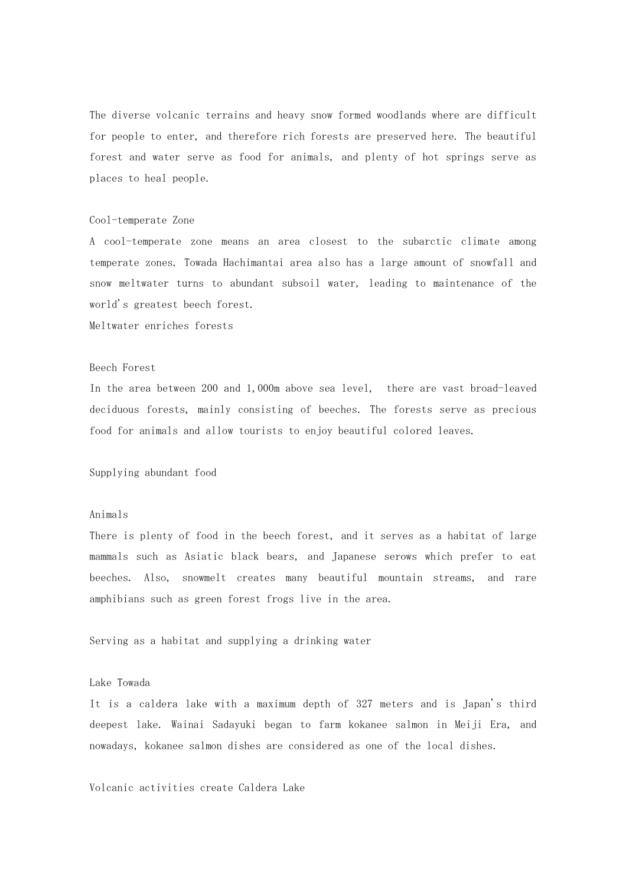The diverse volcanic terrains and heavy snow formed woodlands where are difficult for people to enter, and therefore rich forests are preserved here. The beautiful forest and water serve as food for animals, and plenty of hot springs serve as places to heal people.

#### Cool-temperate Zone

A cool-temperate zone means an area closest to the subarctic climate among temperate zones. Towada Hachimantai area also has a large amount of snowfall and snow meltwater turns to abundant subsoil water, leading to maintenance of the world's greatest beech forest.

Meltwater enriches forests

#### Beech Forest

In the area between 200 and 1,000m above sea level, there are vast broad-leaved deciduous forests, mainly consisting of beeches. The forests serve as precious food for animals and allow tourists to enjoy beautiful colored leaves.

## Supplying abundant food

#### Animals

There is plenty of food in the beech forest, and it serves as a habitat of large mammals such as Asiatic black bears, and Japanese serows which prefer to eat beeches. Also, snowmelt creates many beautiful mountain streams, and rare amphibians such as green forest frogs live in the area.

Serving as a habitat and supplying a drinking water

### Lake Towada

It is a caldera lake with a maximum depth of 327 meters and is Japan's third deepest lake. Wainai Sadayuki began to farm kokanee salmon in Meiji Era, and nowadays, kokanee salmon dishes are considered as one of the local dishes.

Volcanic activities create Caldera Lake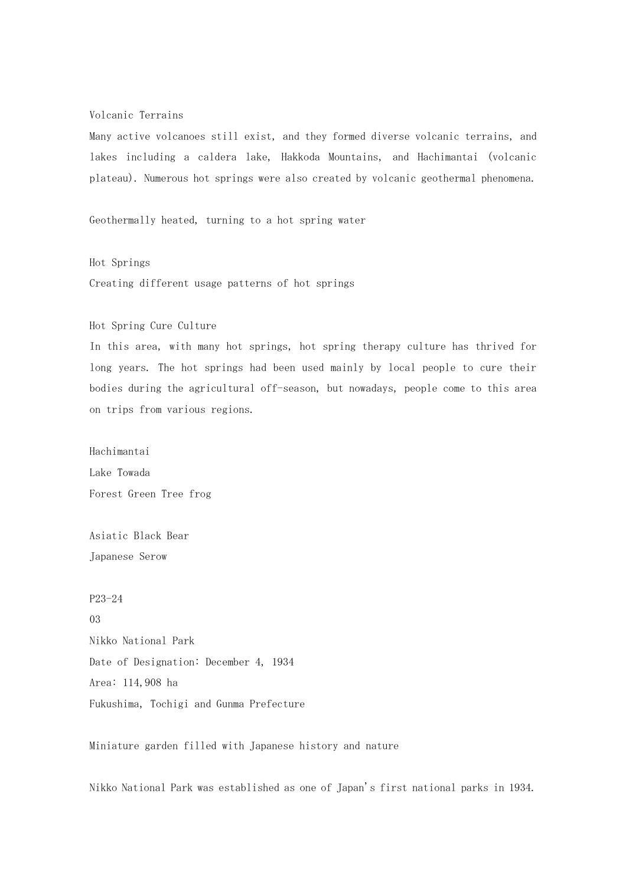#### Volcanic Terrains

Many active volcanoes still exist, and they formed diverse volcanic terrains, and lakes including a caldera lake, Hakkoda Mountains, and Hachimantai (volcanic plateau). Numerous hot springs were also created by volcanic geothermal phenomena.

Geothermally heated, turning to a hot spring water

## Hot Springs

Creating different usage patterns of hot springs

## Hot Spring Cure Culture

In this area, with many hot springs, hot spring therapy culture has thrived for long years. The hot springs had been used mainly by local people to cure their bodies during the agricultural off-season, but nowadays, people come to this area on trips from various regions.

Hachimantai Lake Towada Forest Green Tree frog

Asiatic Black Bear Japanese Serow

P23-24 03 Nikko National Park Date of Designation: December 4, 1934 Area: 114,908 ha Fukushima, Tochigi and Gunma Prefecture

Miniature garden filled with Japanese history and nature

Nikko National Park was established as one of Japan's first national parks in 1934.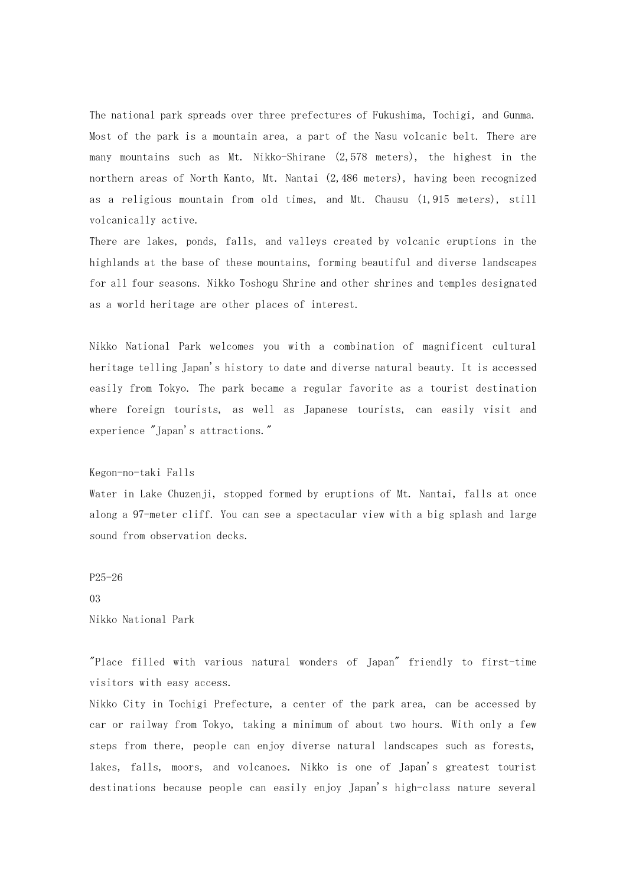The national park spreads over three prefectures of Fukushima, Tochigi, and Gunma. Most of the park is a mountain area, a part of the Nasu volcanic belt. There are many mountains such as Mt. Nikko-Shirane (2,578 meters), the highest in the northern areas of North Kanto, Mt. Nantai (2,486 meters), having been recognized as a religious mountain from old times, and Mt. Chausu (1,915 meters), still volcanically active.

There are lakes, ponds, falls, and valleys created by volcanic eruptions in the highlands at the base of these mountains, forming beautiful and diverse landscapes for all four seasons. Nikko Toshogu Shrine and other shrines and temples designated as a world heritage are other places of interest.

Nikko National Park welcomes you with a combination of magnificent cultural heritage telling Japan's history to date and diverse natural beauty. It is accessed easily from Tokyo. The park became a regular favorite as a tourist destination where foreign tourists, as well as Japanese tourists, can easily visit and experience "Japan's attractions."

#### Kegon-no-taki Falls

Water in Lake Chuzenji, stopped formed by eruptions of Mt. Nantai, falls at once along a 97-meter cliff. You can see a spectacular view with a big splash and large sound from observation decks.

P25-26 03 Nikko National Park

"Place filled with various natural wonders of Japan" friendly to first-time visitors with easy access.

Nikko City in Tochigi Prefecture, a center of the park area, can be accessed by car or railway from Tokyo, taking a minimum of about two hours. With only a few steps from there, people can enjoy diverse natural landscapes such as forests, lakes, falls, moors, and volcanoes. Nikko is one of Japan's greatest tourist destinations because people can easily enjoy Japan's high-class nature several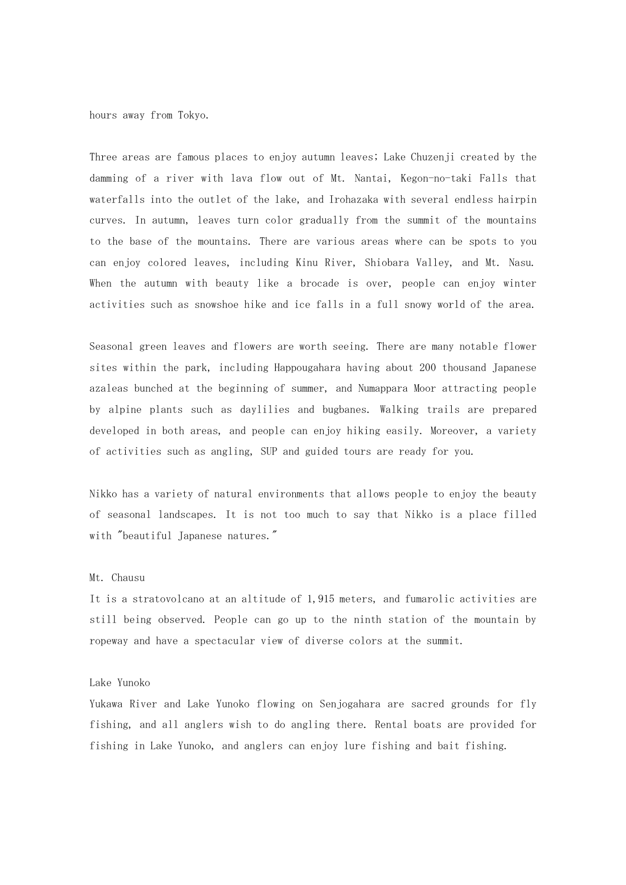hours away from Tokyo.

Three areas are famous places to enjoy autumn leaves; Lake Chuzenji created by the damming of a river with lava flow out of Mt. Nantai, Kegon-no-taki Falls that waterfalls into the outlet of the lake, and Irohazaka with several endless hairpin curves. In autumn, leaves turn color gradually from the summit of the mountains to the base of the mountains. There are various areas where can be spots to you can enjoy colored leaves, including Kinu River, Shiobara Valley, and Mt. Nasu. When the autumn with beauty like a brocade is over, people can enjoy winter activities such as snowshoe hike and ice falls in a full snowy world of the area.

Seasonal green leaves and flowers are worth seeing. There are many notable flower sites within the park, including Happougahara having about 200 thousand Japanese azaleas bunched at the beginning of summer, and Numappara Moor attracting people by alpine plants such as daylilies and bugbanes. Walking trails are prepared developed in both areas, and people can enjoy hiking easily. Moreover, a variety of activities such as angling, SUP and guided tours are ready for you.

Nikko has a variety of natural environments that allows people to enjoy the beauty of seasonal landscapes. It is not too much to say that Nikko is a place filled with "beautiful Japanese natures."

#### Mt. Chausu

It is a stratovolcano at an altitude of 1,915 meters, and fumarolic activities are still being observed. People can go up to the ninth station of the mountain by ropeway and have a spectacular view of diverse colors at the summit.

### Lake Yunoko

Yukawa River and Lake Yunoko flowing on Senjogahara are sacred grounds for fly fishing, and all anglers wish to do angling there. Rental boats are provided for fishing in Lake Yunoko, and anglers can enjoy lure fishing and bait fishing.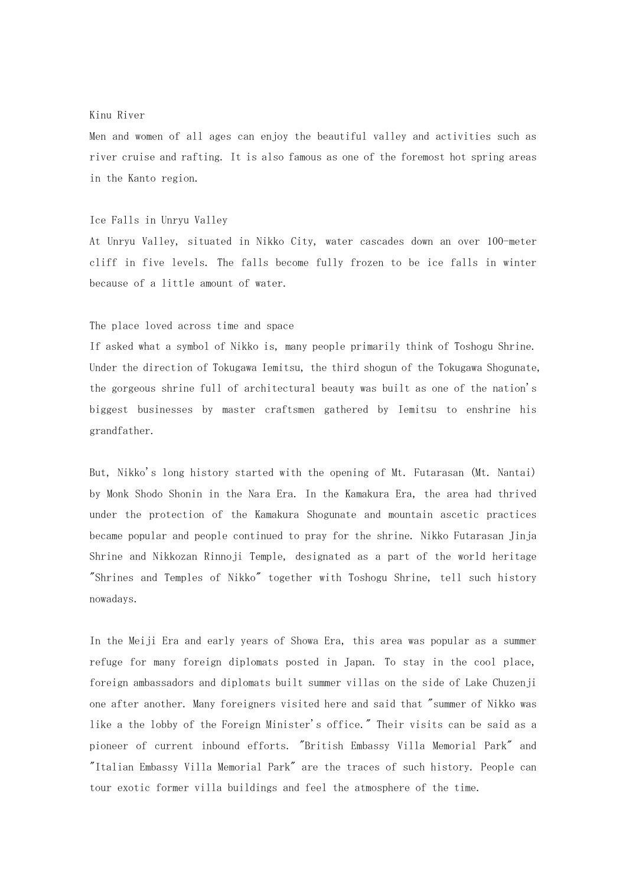#### Kinu River

Men and women of all ages can enjoy the beautiful valley and activities such as river cruise and rafting. It is also famous as one of the foremost hot spring areas in the Kanto region.

#### Ice Falls in Unryu Valley

At Unryu Valley, situated in Nikko City, water cascades down an over 100-meter cliff in five levels. The falls become fully frozen to be ice falls in winter because of a little amount of water.

#### The place loved across time and space

If asked what a symbol of Nikko is, many people primarily think of Toshogu Shrine. Under the direction of Tokugawa Iemitsu, the third shogun of the Tokugawa Shogunate, the gorgeous shrine full of architectural beauty was built as one of the nation's biggest businesses by master craftsmen gathered by Iemitsu to enshrine his grandfather.

But, Nikko's long history started with the opening of Mt. Futarasan (Mt. Nantai) by Monk Shodo Shonin in the Nara Era. In the Kamakura Era, the area had thrived under the protection of the Kamakura Shogunate and mountain ascetic practices became popular and people continued to pray for the shrine. Nikko Futarasan Jinja Shrine and Nikkozan Rinnoji Temple, designated as a part of the world heritage "Shrines and Temples of Nikko" together with Toshogu Shrine, tell such history nowadays.

In the Meiji Era and early years of Showa Era, this area was popular as a summer refuge for many foreign diplomats posted in Japan. To stay in the cool place, foreign ambassadors and diplomats built summer villas on the side of Lake Chuzenji one after another. Many foreigners visited here and said that "summer of Nikko was like a the lobby of the Foreign Minister's office." Their visits can be said as a pioneer of current inbound efforts. "British Embassy Villa Memorial Park" and "Italian Embassy Villa Memorial Park" are the traces of such history. People can tour exotic former villa buildings and feel the atmosphere of the time.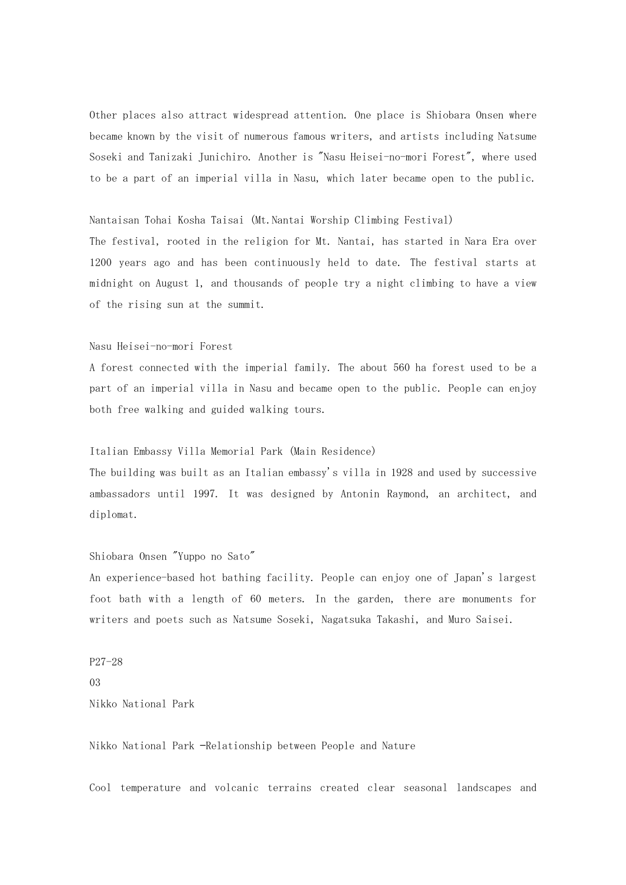Other places also attract widespread attention. One place is Shiobara Onsen where became known by the visit of numerous famous writers, and artists including Natsume Soseki and Tanizaki Junichiro. Another is "Nasu Heisei-no-mori Forest", where used to be a part of an imperial villa in Nasu, which later became open to the public.

#### Nantaisan Tohai Kosha Taisai (Mt.Nantai Worship Climbing Festival)

The festival, rooted in the religion for Mt. Nantai, has started in Nara Era over 1200 years ago and has been continuously held to date. The festival starts at midnight on August 1, and thousands of people try a night climbing to have a view of the rising sun at the summit.

#### Nasu Heisei-no-mori Forest

A forest connected with the imperial family. The about 560 ha forest used to be a part of an imperial villa in Nasu and became open to the public. People can enjoy both free walking and guided walking tours.

#### Italian Embassy Villa Memorial Park (Main Residence)

The building was built as an Italian embassy's villa in 1928 and used by successive ambassadors until 1997. It was designed by Antonin Raymond, an architect, and diplomat.

## Shiobara Onsen "Yuppo no Sato"

An experience-based hot bathing facility. People can enjoy one of Japan's largest foot bath with a length of 60 meters. In the garden, there are monuments for writers and poets such as Natsume Soseki, Nagatsuka Takashi, and Muro Saisei.

# P27-28 03 Nikko National Park

Nikko National Park —Relationship between People and Nature

Cool temperature and volcanic terrains created clear seasonal landscapes and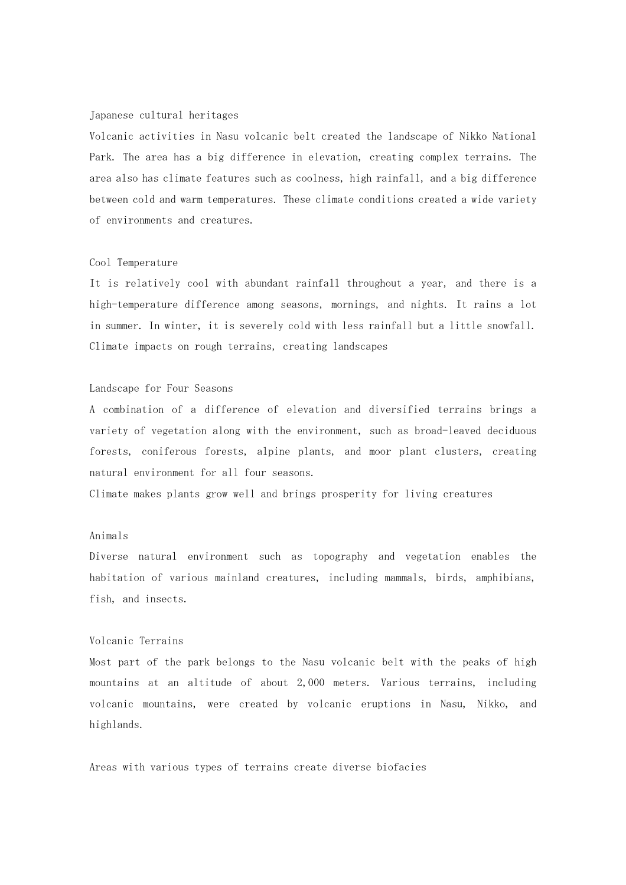#### Japanese cultural heritages

Volcanic activities in Nasu volcanic belt created the landscape of Nikko National Park. The area has a big difference in elevation, creating complex terrains. The area also has climate features such as coolness, high rainfall, and a big difference between cold and warm temperatures. These climate conditions created a wide variety of environments and creatures.

### Cool Temperature

It is relatively cool with abundant rainfall throughout a year, and there is a high-temperature difference among seasons, mornings, and nights. It rains a lot in summer. In winter, it is severely cold with less rainfall but a little snowfall. Climate impacts on rough terrains, creating landscapes

## Landscape for Four Seasons

A combination of a difference of elevation and diversified terrains brings a variety of vegetation along with the environment, such as broad-leaved deciduous forests, coniferous forests, alpine plants, and moor plant clusters, creating natural environment for all four seasons.

Climate makes plants grow well and brings prosperity for living creatures

### Animals

Diverse natural environment such as topography and vegetation enables the habitation of various mainland creatures, including mammals, birds, amphibians, fish, and insects.

# Volcanic Terrains

Most part of the park belongs to the Nasu volcanic belt with the peaks of high mountains at an altitude of about 2,000 meters. Various terrains, including volcanic mountains, were created by volcanic eruptions in Nasu, Nikko, and highlands.

Areas with various types of terrains create diverse biofacies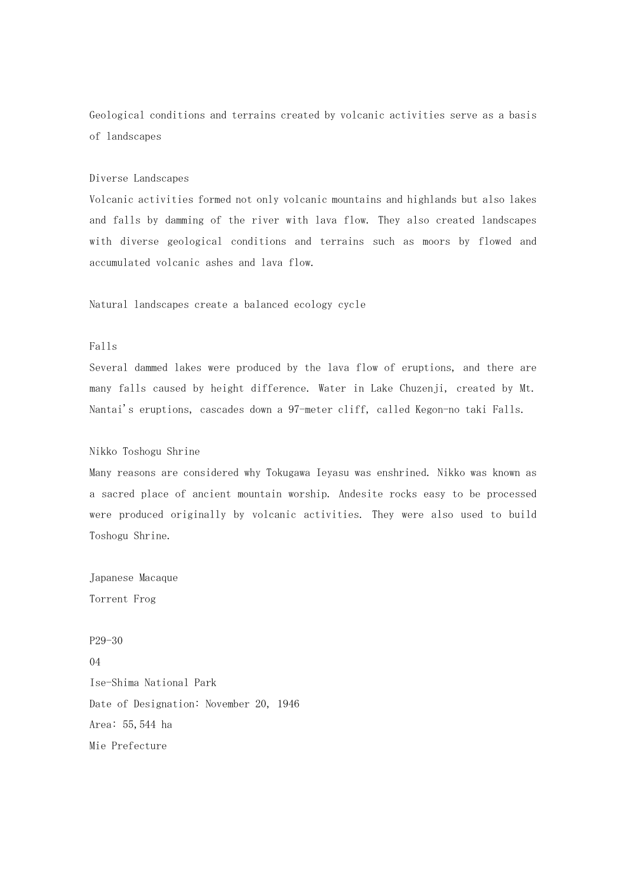Geological conditions and terrains created by volcanic activities serve as a basis of landscapes

## Diverse Landscapes

Volcanic activities formed not only volcanic mountains and highlands but also lakes and falls by damming of the river with lava flow. They also created landscapes with diverse geological conditions and terrains such as moors by flowed and accumulated volcanic ashes and lava flow.

Natural landscapes create a balanced ecology cycle

# Falls

Several dammed lakes were produced by the lava flow of eruptions, and there are many falls caused by height difference. Water in Lake Chuzenji, created by Mt. Nantai's eruptions, cascades down a 97-meter cliff, called Kegon-no taki Falls.

## Nikko Toshogu Shrine

Many reasons are considered why Tokugawa Ieyasu was enshrined. Nikko was known as a sacred place of ancient mountain worship. Andesite rocks easy to be processed were produced originally by volcanic activities. They were also used to build Toshogu Shrine.

Japanese Macaque Torrent Frog

P29-30 04 Ise-Shima National Park Date of Designation: November 20, 1946 Area: 55,544 ha Mie Prefecture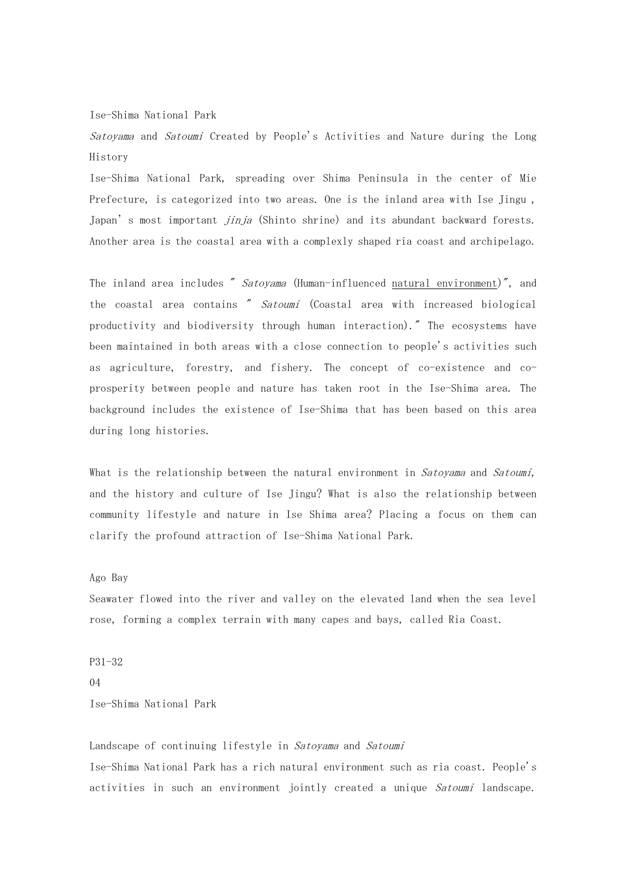Ise-Shima National Park

Satoyama and Satoumi Created by People's Activities and Nature during the Long History

Ise-Shima National Park, spreading over Shima Peninsula in the center of Mie Prefecture, is categorized into two areas. One is the inland area with Ise Jingu , Japan's most important *jinja* (Shinto shrine) and its abundant backward forests. Another area is the coastal area with a complexly shaped ria coast and archipelago.

The inland area includes " Satoyama (Human-influenced natural environment)", and the coastal area contains " Satoumi (Coastal area with increased biological productivity and biodiversity through human interaction)." The ecosystems have been maintained in both areas with a close connection to people's activities such as agriculture, forestry, and fishery. The concept of co-existence and coprosperity between people and nature has taken root in the Ise-Shima area. The background includes the existence of Ise-Shima that has been based on this area during long histories.

What is the relationship between the natural environment in Satoyama and Satoumi, and the history and culture of Ise Jingu? What is also the relationship between community lifestyle and nature in Ise Shima area? Placing a focus on them can clarify the profound attraction of Ise-Shima National Park.

#### Ago Bay

Seawater flowed into the river and valley on the elevated land when the sea level rose, forming a complex terrain with many capes and bays, called Ria Coast.

# P31-32 04 Ise-Shima National Park

Landscape of continuing lifestyle in Satoyama and Satoumi Ise-Shima National Park has a rich natural environment such as ria coast. People's activities in such an environment jointly created a unique Satoumi landscape.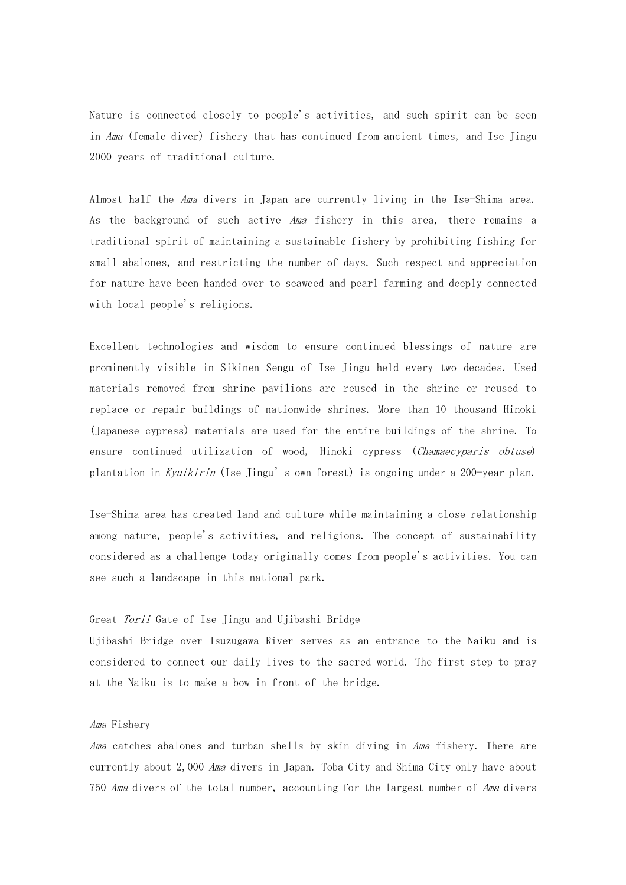Nature is connected closely to people's activities, and such spirit can be seen in Ama (female diver) fishery that has continued from ancient times, and Ise Jingu 2000 years of traditional culture.

Almost half the Ama divers in Japan are currently living in the Ise-Shima area. As the background of such active Ama fishery in this area, there remains a traditional spirit of maintaining a sustainable fishery by prohibiting fishing for small abalones, and restricting the number of days. Such respect and appreciation for nature have been handed over to seaweed and pearl farming and deeply connected with local people's religions.

Excellent technologies and wisdom to ensure continued blessings of nature are prominently visible in Sikinen Sengu of Ise Jingu held every two decades. Used materials removed from shrine pavilions are reused in the shrine or reused to replace or repair buildings of nationwide shrines. More than 10 thousand Hinoki (Japanese cypress) materials are used for the entire buildings of the shrine. To ensure continued utilization of wood, Hinoki cypress (Chamaecyparis obtuse) plantation in Kyuikirin (Ise Jingu's own forest) is ongoing under a 200-year plan.

Ise-Shima area has created land and culture while maintaining a close relationship among nature, people's activities, and religions. The concept of sustainability considered as a challenge today originally comes from people's activities. You can see such a landscape in this national park.

## Great Torii Gate of Ise Jingu and Ujibashi Bridge

Ujibashi Bridge over Isuzugawa River serves as an entrance to the Naiku and is considered to connect our daily lives to the sacred world. The first step to pray at the Naiku is to make a bow in front of the bridge.

# Ama Fishery

Ama catches abalones and turban shells by skin diving in Ama fishery. There are currently about 2,000 Ama divers in Japan. Toba City and Shima City only have about 750 Ama divers of the total number, accounting for the largest number of Ama divers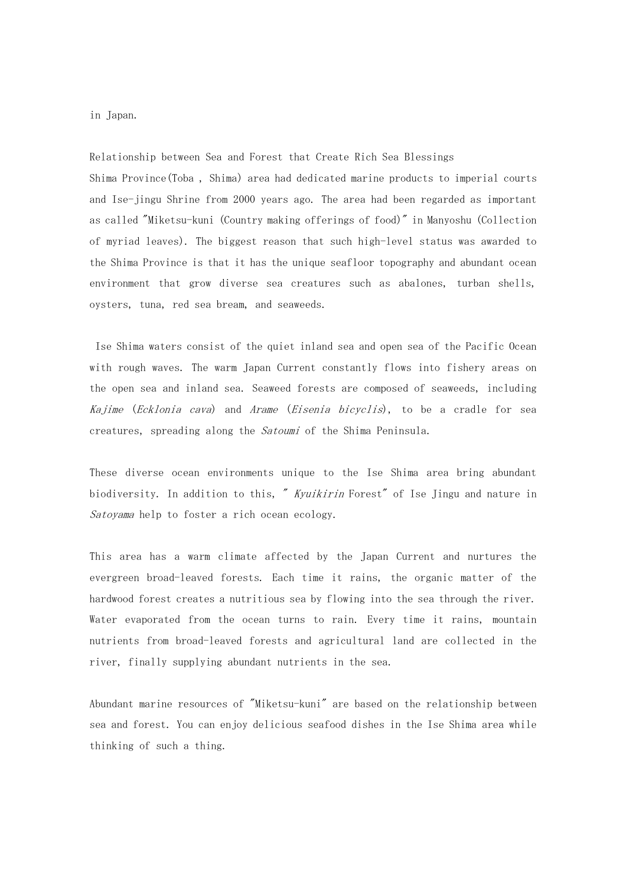#### in Japan.

Relationship between Sea and Forest that Create Rich Sea Blessings Shima Province(Toba , Shima) area had dedicated marine products to imperial courts and Ise-jingu Shrine from 2000 years ago. The area had been regarded as important as called "Miketsu-kuni (Country making offerings of food)" in Manyoshu (Collection of myriad leaves). The biggest reason that such high-level status was awarded to the Shima Province is that it has the unique seafloor topography and abundant ocean environment that grow diverse sea creatures such as abalones, turban shells, oysters, tuna, red sea bream, and seaweeds.

Ise Shima waters consist of the quiet inland sea and open sea of the Pacific Ocean with rough waves. The warm Japan Current constantly flows into fishery areas on the open sea and inland sea. Seaweed forests are composed of seaweeds, including Kajime (Ecklonia cava) and Arame (Eisenia bicyclis), to be a cradle for sea creatures, spreading along the Satoumi of the Shima Peninsula.

These diverse ocean environments unique to the Ise Shima area bring abundant biodiversity. In addition to this, " Kyuikirin Forest" of Ise Jingu and nature in Satoyama help to foster a rich ocean ecology.

This area has a warm climate affected by the Japan Current and nurtures the evergreen broad-leaved forests. Each time it rains, the organic matter of the hardwood forest creates a nutritious sea by flowing into the sea through the river. Water evaporated from the ocean turns to rain. Every time it rains, mountain nutrients from broad-leaved forests and agricultural land are collected in the river, finally supplying abundant nutrients in the sea.

Abundant marine resources of "Miketsu-kuni" are based on the relationship between sea and forest. You can enjoy delicious seafood dishes in the Ise Shima area while thinking of such a thing.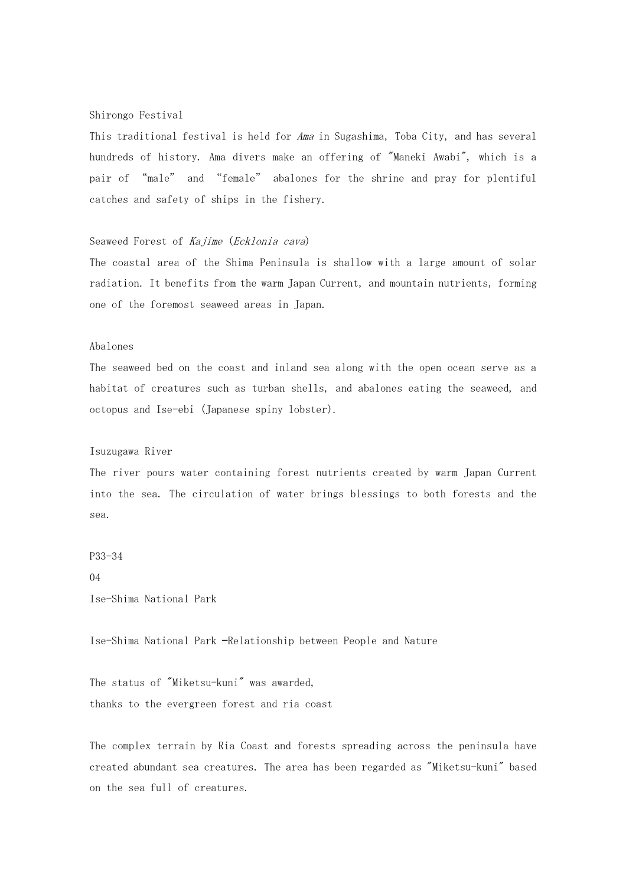#### Shirongo Festival

This traditional festival is held for Ama in Sugashima, Toba City, and has several hundreds of history. Ama divers make an offering of "Maneki Awabi", which is a pair of "male" and "female" abalones for the shrine and pray for plentiful catches and safety of ships in the fishery.

#### Seaweed Forest of Kajime (Ecklonia cava)

The coastal area of the Shima Peninsula is shallow with a large amount of solar radiation. It benefits from the warm Japan Current, and mountain nutrients, forming one of the foremost seaweed areas in Japan.

## Abalones

The seaweed bed on the coast and inland sea along with the open ocean serve as a habitat of creatures such as turban shells, and abalones eating the seaweed, and octopus and Ise-ebi (Japanese spiny lobster).

#### Isuzugawa River

The river pours water containing forest nutrients created by warm Japan Current into the sea. The circulation of water brings blessings to both forests and the sea.

# P33-34

04 Ise-Shima National Park

Ise-Shima National Park —Relationship between People and Nature

The status of "Miketsu-kuni" was awarded, thanks to the evergreen forest and ria coast

The complex terrain by Ria Coast and forests spreading across the peninsula have created abundant sea creatures. The area has been regarded as "Miketsu-kuni" based on the sea full of creatures.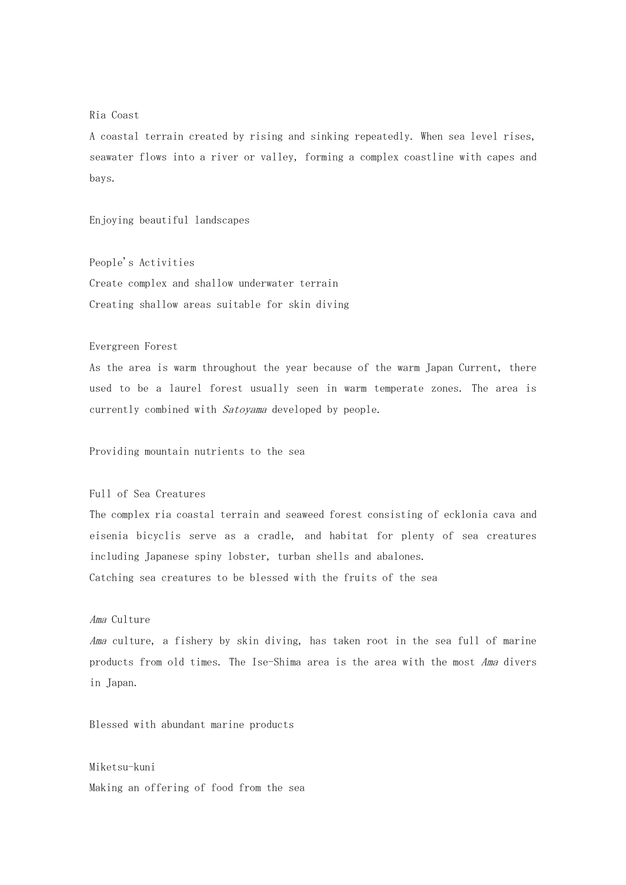#### Ria Coast

A coastal terrain created by rising and sinking repeatedly. When sea level rises, seawater flows into a river or valley, forming a complex coastline with capes and bays.

Enjoying beautiful landscapes

People's Activities Create complex and shallow underwater terrain Creating shallow areas suitable for skin diving

#### Evergreen Forest

As the area is warm throughout the year because of the warm Japan Current, there used to be a laurel forest usually seen in warm temperate zones. The area is currently combined with Satoyama developed by people.

Providing mountain nutrients to the sea

# Full of Sea Creatures

The complex ria coastal terrain and seaweed forest consisting of ecklonia cava and eisenia bicyclis serve as a cradle, and habitat for plenty of sea creatures including [Japanese spiny lobster,](https://ejje.weblio.jp/content/Japanese+spiny+lobster) turban shells and abalones. Catching sea creatures to be blessed with the fruits of the sea

### *Ama* Culture

Ama culture, a fishery by skin diving, has taken root in the sea full of marine products from old times. The Ise-Shima area is the area with the most Ama divers in Japan.

Blessed with abundant marine products

Miketsu-kuni Making an offering of food from the sea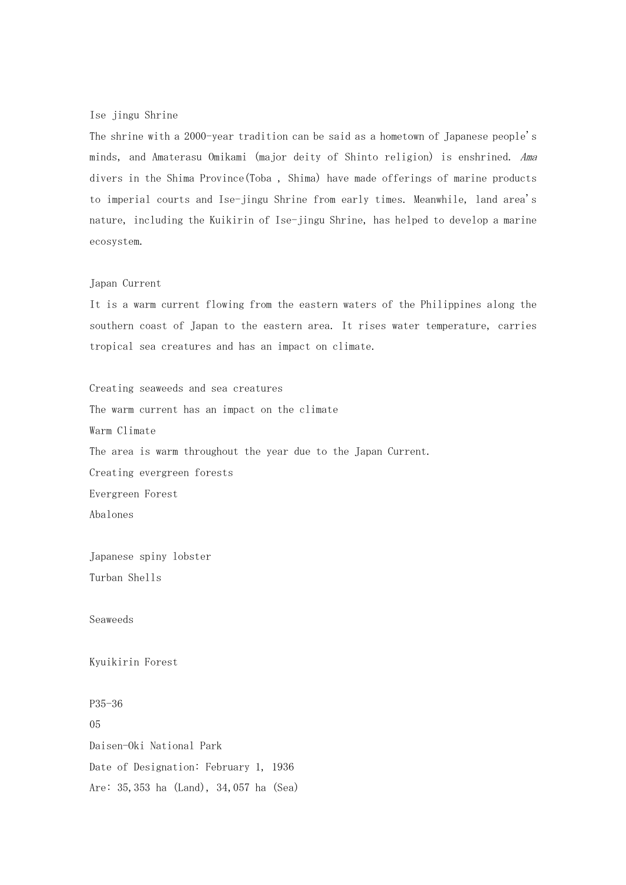## Ise jingu Shrine

The shrine with a 2000-year tradition can be said as a hometown of Japanese people's minds, and Amaterasu Omikami (major deity of Shinto religion) is enshrined. Ama divers in the Shima Province(Toba , Shima) have made offerings of marine products to imperial courts and Ise-jingu Shrine from early times. Meanwhile, land area's nature, including the Kuikirin of Ise-jingu Shrine, has helped to develop a marine ecosystem.

## Japan Current

It is a warm current flowing from the eastern waters of the Philippines along the southern coast of Japan to the eastern area. It rises water temperature, carries tropical sea creatures and has an impact on climate.

Creating seaweeds and sea creatures The warm current has an impact on the climate Warm Climate The area is warm throughout the year due to the Japan Current. Creating evergreen forests Evergreen Forest Abalones

[Japanese spiny lobster](https://ejje.weblio.jp/content/Japanese+spiny+lobster) Turban Shells

Seaweeds

Kyuikirin Forest

P35-36 05 Daisen-Oki National Park Date of Designation: February 1, 1936 Are: 35,353 ha (Land), 34,057 ha (Sea)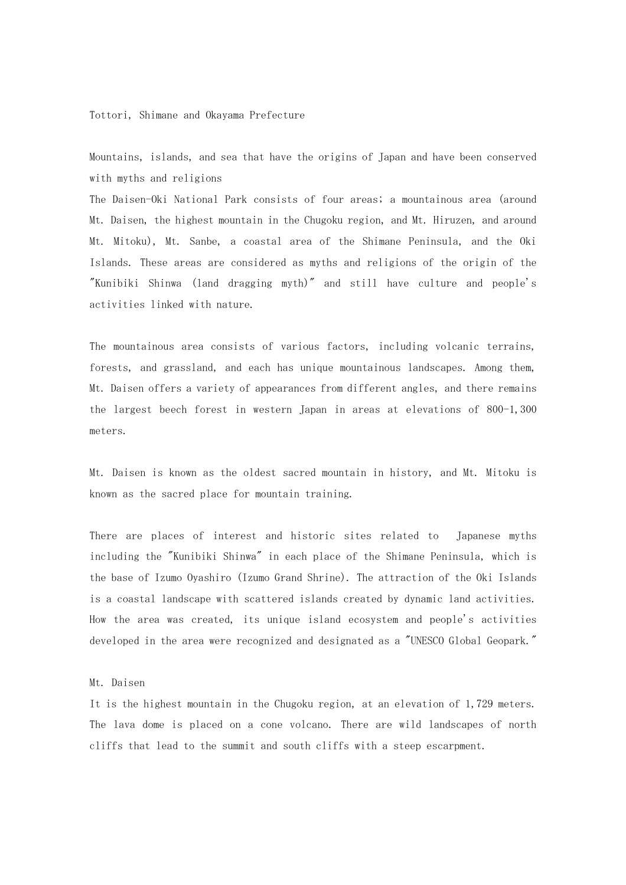Tottori, Shimane and Okayama Prefecture

Mountains, islands, and sea that have the origins of Japan and have been conserved with myths and religions

The Daisen-Oki National Park consists of four areas; a mountainous area (around Mt. Daisen, the highest mountain in the Chugoku region, and Mt. Hiruzen, and around Mt. Mitoku), Mt. Sanbe, a coastal area of the Shimane Peninsula, and the Oki Islands. These areas are considered as myths and religions of the origin of the "Kunibiki Shinwa (land dragging myth)" and still have culture and people's activities linked with nature.

The mountainous area consists of various factors, including volcanic terrains, forests, and grassland, and each has unique mountainous landscapes. Among them, Mt. Daisen offers a variety of appearances from different angles, and there remains the largest beech forest in western Japan in areas at elevations of 800-1,300 meters.

Mt. Daisen is known as the oldest sacred mountain in history, and Mt. Mitoku is known as the sacred place for mountain training.

There are places of interest and historic sites related to Japanese myths including the "Kunibiki Shinwa" in each place of the Shimane Peninsula, which is the base of Izumo Oyashiro (Izumo Grand Shrine). The attraction of the Oki Islands is a coastal landscape with scattered islands created by dynamic land activities. How the area was created, its unique island ecosystem and people's activities developed in the area were recognized and designated as a "UNESCO Global Geopark."

### Mt. Daisen

It is the highest mountain in the Chugoku region, at an elevation of 1,729 meters. The lava dome is placed on a cone volcano. There are wild landscapes of north cliffs that lead to the summit and south cliffs with a steep escarpment.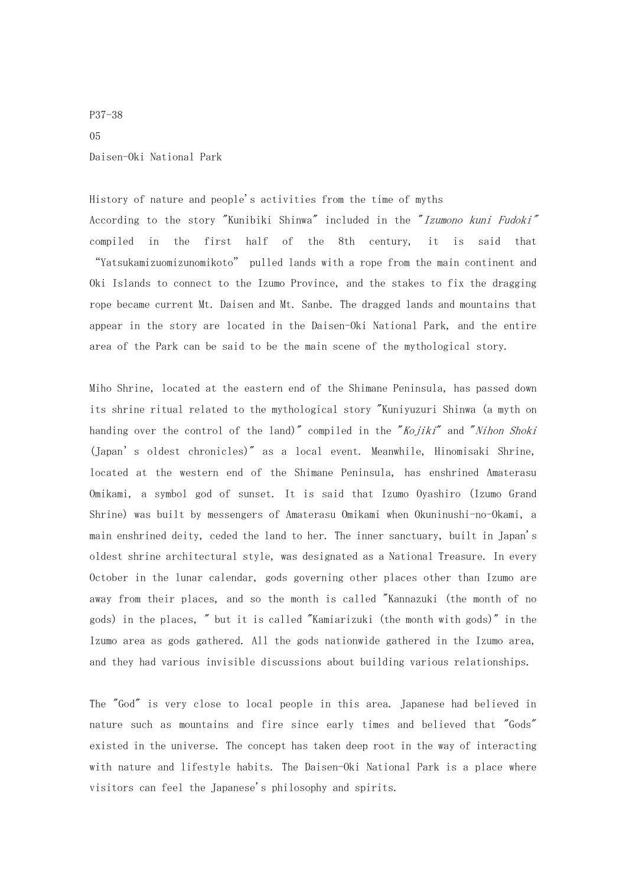P37-38 05 Daisen-Oki National Park

History of nature and people's activities from the time of myths

According to the story "Kunibiki Shinwa" included in the "Izumono kuni Fudoki" compiled in the first half of the 8th century, it is said that "Yatsukamizuomizunomikoto" pulled lands with a rope from the main continent and Oki Islands to connect to the Izumo Province, and the stakes to fix the dragging rope became current Mt. Daisen and Mt. Sanbe. The dragged lands and mountains that appear in the story are located in the Daisen-Oki National Park, and the entire area of the Park can be said to be the main scene of the mythological story.

Miho Shrine, located at the eastern end of the Shimane Peninsula, has passed down its shrine ritual related to the mythological story "Kuniyuzuri Shinwa (a myth on handing over the control of the land)" compiled in the "Kojiki" and "Nihon Shoki (Japan's oldest chronicles)" as a local event. Meanwhile, Hinomisaki Shrine, located at the western end of the Shimane Peninsula, has enshrined Amaterasu Omikami, a symbol god of sunset. It is said that Izumo Oyashiro (Izumo Grand Shrine) was built by messengers of Amaterasu Omikami when Okuninushi-no-Okami, a main enshrined deity, ceded the land to her. The inner sanctuary, built in Japan's oldest shrine architectural style, was designated as a National Treasure. In every October in the lunar calendar, gods governing other places other than Izumo are away from their places, and so the month is called "Kannazuki (the month of no gods) in the places, " but it is called "Kamiarizuki (the month with gods)" in the Izumo area as gods gathered. All the gods nationwide gathered in the Izumo area, and they had various invisible discussions about building various relationships.

The "God" is very close to local people in this area. Japanese had believed in nature such as mountains and fire since early times and believed that "Gods" existed in the universe. The concept has taken deep root in the way of interacting with nature and lifestyle habits. The Daisen-Oki National Park is a place where visitors can feel the Japanese's philosophy and spirits.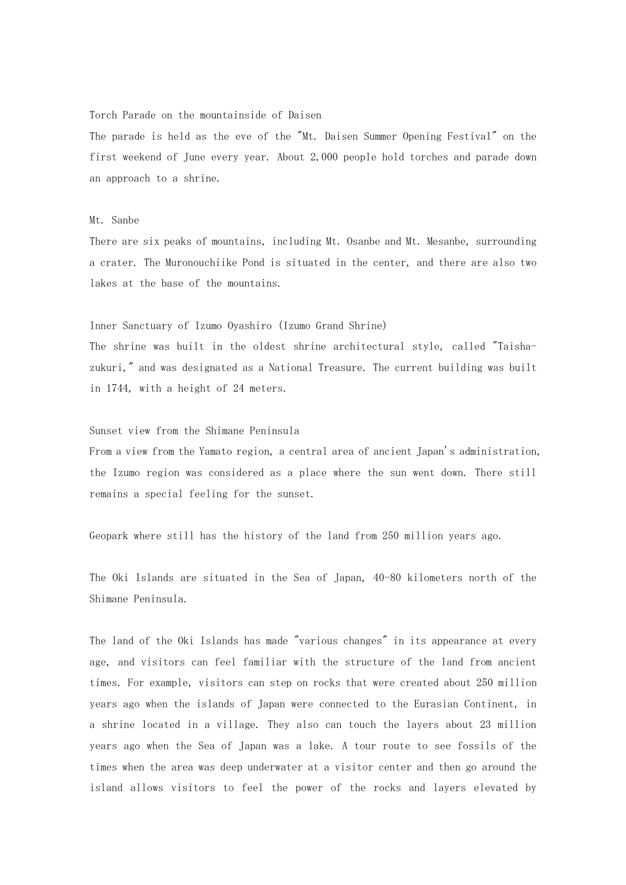#### Torch Parade on the mountainside of Daisen

The parade is held as the eve of the "Mt. Daisen Summer Opening Festival" on the first weekend of June every year. About 2,000 people hold torches and parade down an approach to a shrine.

#### Mt. Sanbe

There are six peaks of mountains, including Mt. Osanbe and Mt. Mesanbe, surrounding a crater. The Muronouchiike Pond is situated in the center, and there are also two lakes at the base of the mountains.

#### Inner Sanctuary of Izumo Oyashiro (Izumo Grand Shrine)

The shrine was built in the oldest shrine architectural style, called "Taishazukuri," and was designated as a National Treasure. The current building was built in 1744, with a height of 24 meters.

## Sunset view from the Shimane Peninsula

From a view from the Yamato region, a central area of ancient Japan's administration, the Izumo region was considered as a place where the sun went down. There still remains a special feeling for the sunset.

Geopark where still has the history of the land from 250 million years ago.

The Oki Islands are situated in the Sea of Japan, 40-80 kilometers north of the Shimane Peninsula.

The land of the Oki Islands has made "various changes" in its appearance at every age, and visitors can feel familiar with the structure of the land from ancient times. For example, visitors can step on rocks that were created about 250 million years ago when the islands of Japan were connected to the Eurasian Continent, in a shrine located in a village. They also can touch the layers about 23 million years ago when the Sea of Japan was a lake. A tour route to see fossils of the times when the area was deep underwater at a visitor center and then go around the island allows visitors to feel the power of the rocks and layers elevated by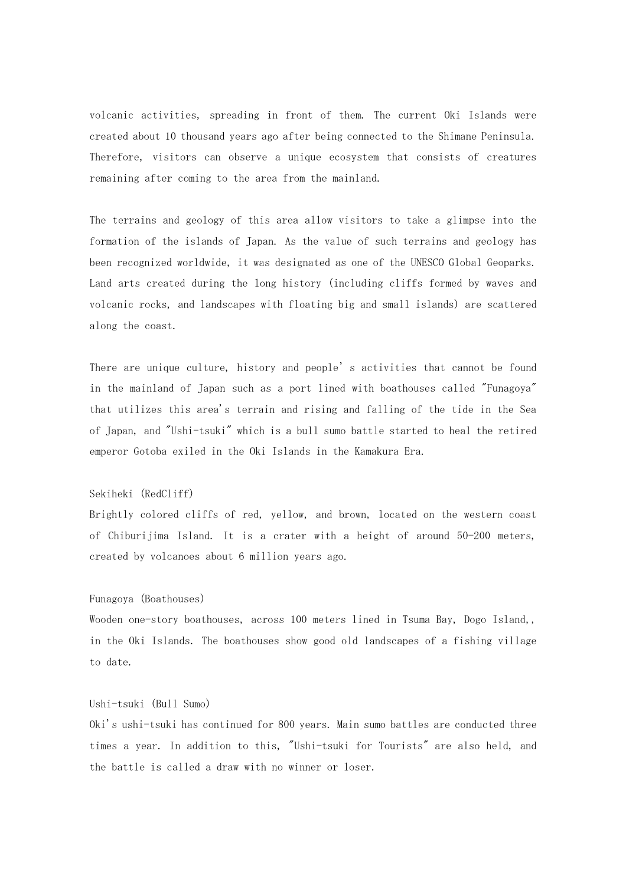volcanic activities, spreading in front of them. The current Oki Islands were created about 10 thousand years ago after being connected to the Shimane Peninsula. Therefore, visitors can observe a unique ecosystem that consists of creatures remaining after coming to the area from the mainland.

The terrains and geology of this area allow visitors to take a glimpse into the formation of the islands of Japan. As the value of such terrains and geology has been recognized worldwide, it was designated as one of the UNESCO Global Geoparks. Land arts created during the long history (including cliffs formed by waves and volcanic rocks, and landscapes with floating big and small islands) are scattered along the coast.

There are unique culture, history and people's activities that cannot be found in the mainland of Japan such as a port lined with boathouses called "Funagoya" that utilizes this area's terrain and rising and falling of the tide in the Sea of Japan, and "Ushi-tsuki" which is a bull sumo battle started to heal the retired emperor Gotoba exiled in the Oki Islands in the Kamakura Era.

## Sekiheki (RedCliff)

Brightly colored cliffs of red, yellow, and brown, located on the western coast of Chiburijima Island. It is a crater with a height of around 50-200 meters, created by volcanoes about 6 million years ago.

#### Funagoya (Boathouses)

Wooden one-story boathouses, across 100 meters lined in Tsuma Bay, Dogo Island,, in the Oki Islands. The boathouses show good old landscapes of a fishing village to date.

#### Ushi-tsuki (Bull Sumo)

Oki's ushi-tsuki has continued for 800 years. Main sumo battles are conducted three times a year. In addition to this, "Ushi-tsuki for Tourists" are also held, and the battle is called a draw with no winner or loser.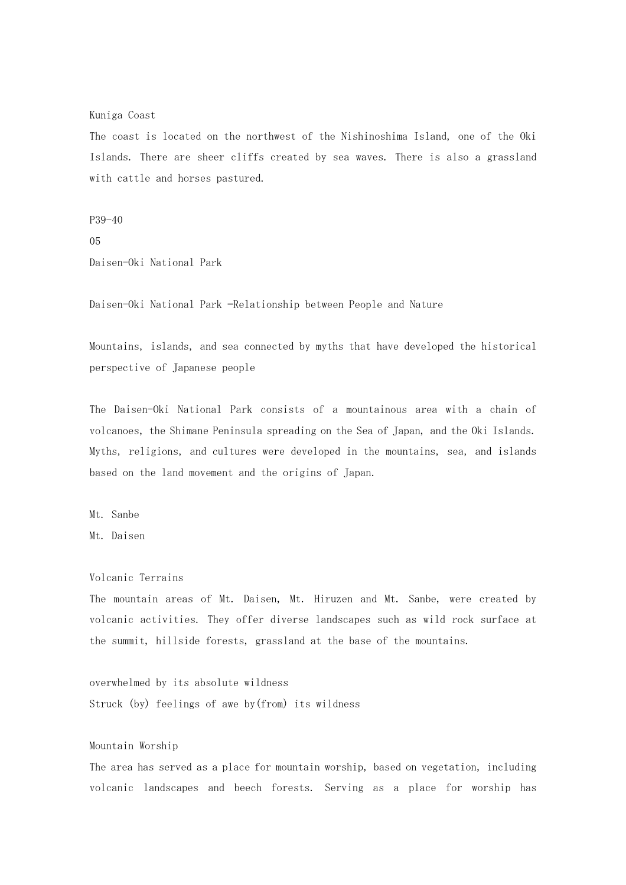Kuniga Coast

The coast is located on the northwest of the Nishinoshima Island, one of the Oki Islands. There are sheer cliffs created by sea waves. There is also a grassland with cattle and horses pastured.

P39-40 05 Daisen-Oki National Park

Daisen-Oki National Park —Relationship between People and Nature

Mountains, islands, and sea connected by myths that have developed the historical perspective of Japanese people

The Daisen-Oki National Park consists of a mountainous area with a chain of volcanoes, the Shimane Peninsula spreading on the Sea of Japan, and the Oki Islands. Myths, religions, and cultures were developed in the mountains, sea, and islands based on the land movement and the origins of Japan.

Mt. Sanbe

Mt. Daisen

#### Volcanic Terrains

The mountain areas of Mt. Daisen, Mt. Hiruzen and Mt. Sanbe, were created by volcanic activities. They offer diverse landscapes such as wild rock surface at the summit, hillside forests, grassland at the base of the mountains.

overwhelmed by its absolute wildness Struck (by) feelings of awe by(from) its wildness

#### Mountain Worship

The area has served as a place for mountain worship, based on vegetation, including volcanic landscapes and beech forests. Serving as a place for worship has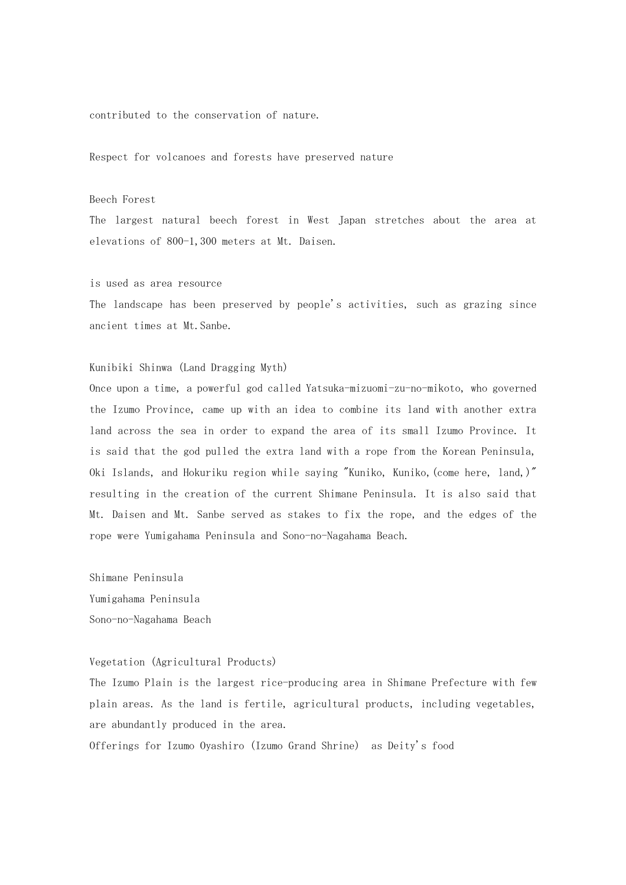contributed to the conservation of nature.

Respect for volcanoes and forests have preserved nature

## Beech Forest

The largest natural beech forest in West Japan stretches about the area at elevations of 800-1,300 meters at Mt. Daisen.

is used as area resource

The landscape has been preserved by people's activities, such as grazing since ancient times at Mt.Sanbe.

### Kunibiki Shinwa (Land Dragging Myth)

Once upon a time, a powerful god called Yatsuka-mizuomi-zu-no-mikoto, who governed the Izumo Province, came up with an idea to combine its land with another extra land across the sea in order to expand the area of its small Izumo Province. It is said that the god pulled the extra land with a rope from the Korean Peninsula, Oki Islands, and Hokuriku region while saying "Kuniko, Kuniko,(come here, land,)" resulting in the creation of the current Shimane Peninsula. It is also said that Mt. Daisen and Mt. Sanbe served as stakes to fix the rope, and the edges of the rope were Yumigahama Peninsula and Sono-no-Nagahama Beach.

Shimane Peninsula Yumigahama Peninsula Sono-no-Nagahama Beach

#### Vegetation (Agricultural Products)

The Izumo Plain is the largest rice-producing area in Shimane Prefecture with few plain areas. As the land is fertile, agricultural products, including vegetables, are abundantly produced in the area.

Offerings for Izumo Oyashiro (Izumo Grand Shrine) as Deity's food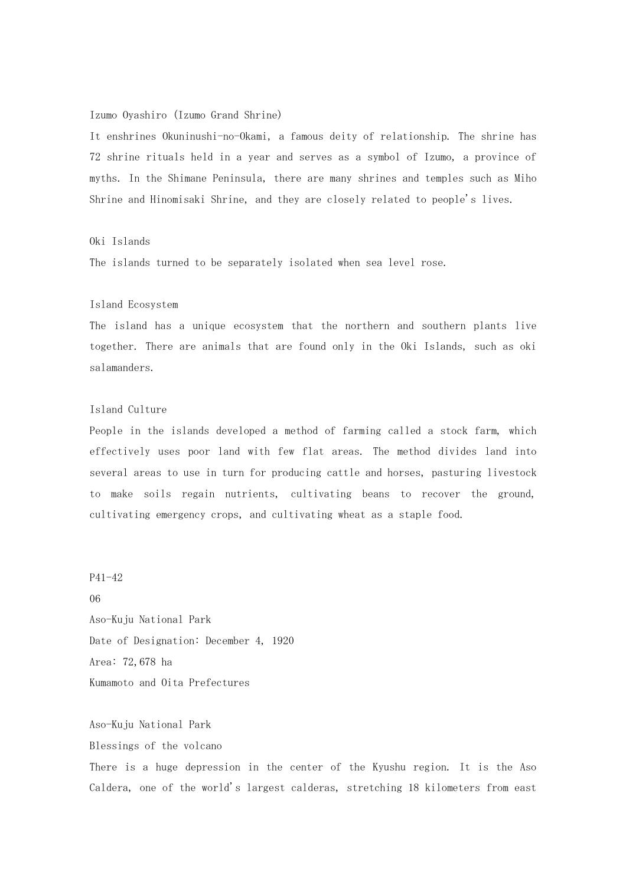#### Izumo Oyashiro (Izumo Grand Shrine)

It enshrines Okuninushi-no-Okami, a famous deity of relationship. The shrine has 72 shrine rituals held in a year and serves as a symbol of Izumo, a province of myths. In the Shimane Peninsula, there are many shrines and temples such as Miho Shrine and Hinomisaki Shrine, and they are closely related to people's lives.

#### Oki Islands

The islands turned to be separately isolated when sea level rose.

#### Island Ecosystem

The island has a unique ecosystem that the northern and southern plants live together. There are animals that are found only in the Oki Islands, such as oki salamanders.

#### Island Culture

People in the islands developed a method of farming called a stock farm, which effectively uses poor land with few flat areas. The method divides land into several areas to use in turn for producing cattle and horses, pasturing livestock to make soils regain nutrients, cultivating beans to recover the ground, cultivating emergency crops, and cultivating wheat as a staple food.

P41-42

06 Aso-Kuju National Park Date of Designation: December 4, 1920 Area: 72,678 ha Kumamoto and Oita Prefectures

Aso-Kuju National Park Blessings of the volcano

There is a huge depression in the center of the Kyushu region. It is the Aso Caldera, one of the world's largest calderas, stretching 18 kilometers from east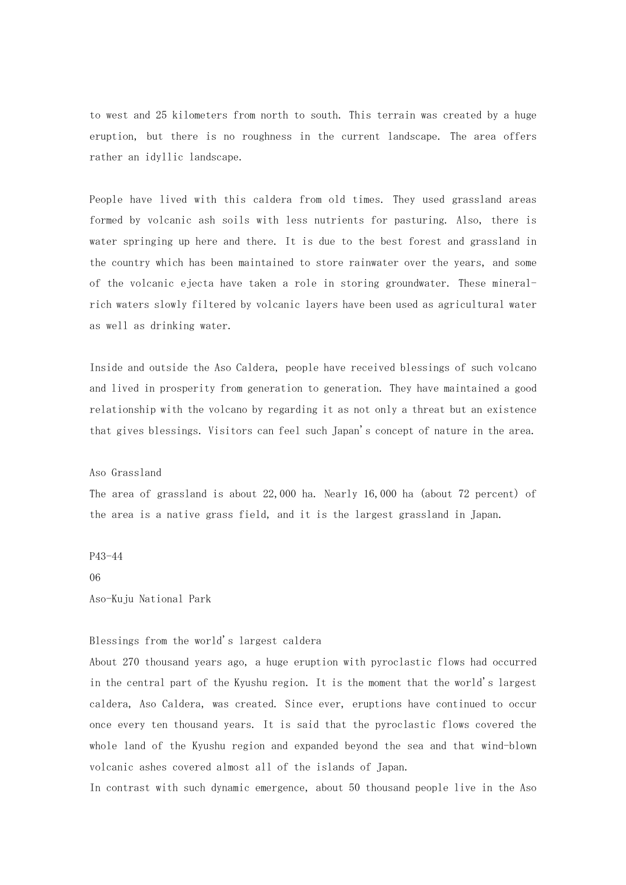to west and 25 kilometers from north to south. This terrain was created by a huge eruption, but there is no roughness in the current landscape. The area offers rather an idyllic landscape.

People have lived with this caldera from old times. They used grassland areas formed by volcanic ash soils with less nutrients for pasturing. Also, there is water springing up here and there. It is due to the best forest and grassland in the country which has been maintained to store rainwater over the years, and some of the volcanic ejecta have taken a role in storing groundwater. These mineralrich waters slowly filtered by volcanic layers have been used as agricultural water as well as drinking water.

Inside and outside the Aso Caldera, people have received blessings of such volcano and lived in prosperity from generation to generation. They have maintained a good relationship with the volcano by regarding it as not only a threat but an existence that gives blessings. Visitors can feel such Japan's concept of nature in the area.

### Aso Grassland

The area of grassland is about 22,000 ha. Nearly 16,000 ha (about 72 percent) of the area is a native grass field, and it is the largest grassland in Japan.

P43-44

# 06 Aso-Kuju National Park

#### Blessings from the world's largest caldera

About 270 thousand years ago, a huge eruption with pyroclastic flows had occurred in the central part of the Kyushu region. It is the moment that the world's largest caldera, Aso Caldera, was created. Since ever, eruptions have continued to occur once every ten thousand years. It is said that the pyroclastic flows covered the whole land of the Kyushu region and expanded beyond the sea and that wind-blown volcanic ashes covered almost all of the islands of Japan.

In contrast with such dynamic emergence, about 50 thousand people live in the Aso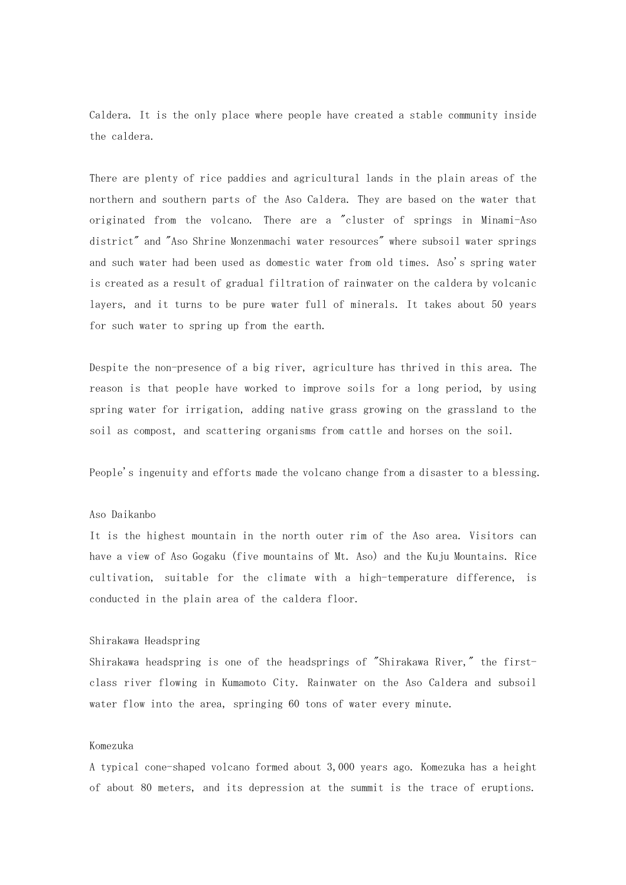Caldera. It is the only place where people have created a stable community inside the caldera.

There are plenty of rice paddies and agricultural lands in the plain areas of the northern and southern parts of the Aso Caldera. They are based on the water that originated from the volcano. There are a "cluster of springs in Minami-Aso district" and "Aso Shrine Monzenmachi water resources" where subsoil water springs and such water had been used as domestic water from old times. Aso's spring water is created as a result of gradual filtration of rainwater on the caldera by volcanic layers, and it turns to be pure water full of minerals. It takes about 50 years for such water to spring up from the earth.

Despite the non-presence of a big river, agriculture has thrived in this area. The reason is that people have worked to improve soils for a long period, by using spring water for irrigation, adding native grass growing on the grassland to the soil as compost, and scattering organisms from cattle and horses on the soil.

People's ingenuity and efforts made the volcano change from a disaster to a blessing.

## Aso Daikanbo

It is the highest mountain in the north outer rim of the Aso area. Visitors can have a view of Aso Gogaku (five mountains of Mt. Aso) and the Kuju Mountains. Rice cultivation, suitable for the climate with a high-temperature difference, is conducted in the plain area of the caldera floor.

## Shirakawa Headspring

Shirakawa headspring is one of the headsprings of "Shirakawa River," the firstclass river flowing in Kumamoto City. Rainwater on the Aso Caldera and subsoil water flow into the area, springing 60 tons of water every minute.

#### Komezuka

A typical cone-shaped volcano formed about 3,000 years ago. Komezuka has a height of about 80 meters, and its depression at the summit is the trace of eruptions.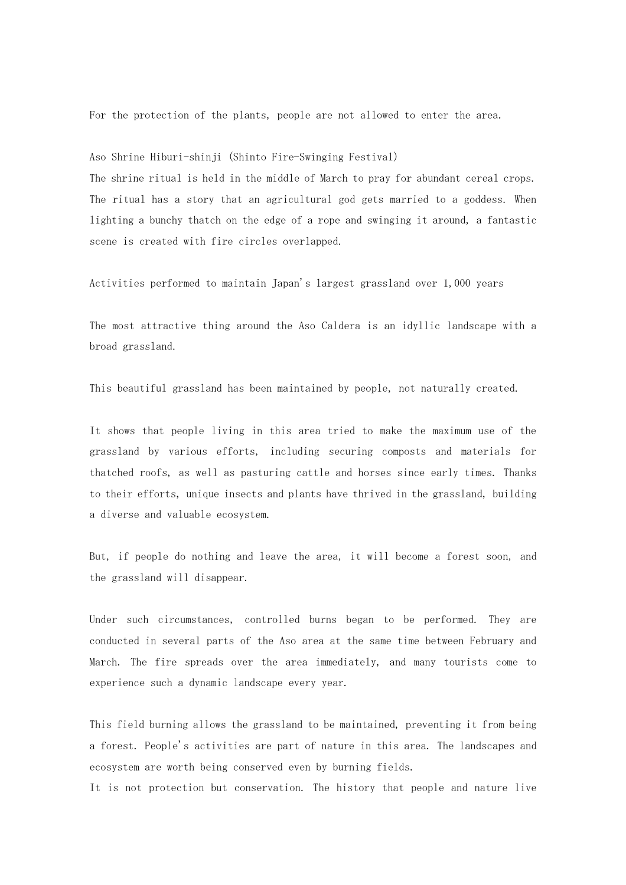For the protection of the plants, people are not allowed to enter the area.

#### Aso Shrine Hiburi-shinji (Shinto Fire-Swinging Festival)

The shrine ritual is held in the middle of March to pray for abundant cereal crops. The ritual has a story that an agricultural god gets married to a goddess. When lighting a bunchy thatch on the edge of a rope and swinging it around, a fantastic scene is created with fire circles overlapped.

Activities performed to maintain Japan's largest grassland over 1,000 years

The most attractive thing around the Aso Caldera is an idyllic landscape with a broad grassland.

This beautiful grassland has been maintained by people, not naturally created.

It shows that people living in this area tried to make the maximum use of the grassland by various efforts, including securing composts and materials for thatched roofs, as well as pasturing cattle and horses since early times. Thanks to their efforts, unique insects and plants have thrived in the grassland, building a diverse and valuable ecosystem.

But, if people do nothing and leave the area, it will become a forest soon, and the grassland will disappear.

Under such circumstances, controlled burns began to be performed. They are conducted in several parts of the Aso area at the same time between February and March. The fire spreads over the area immediately, and many tourists come to experience such a dynamic landscape every year.

This field burning allows the grassland to be maintained, preventing it from being a forest. People's activities are part of nature in this area. The landscapes and ecosystem are worth being conserved even by burning fields.

It is not protection but conservation. The history that people and nature live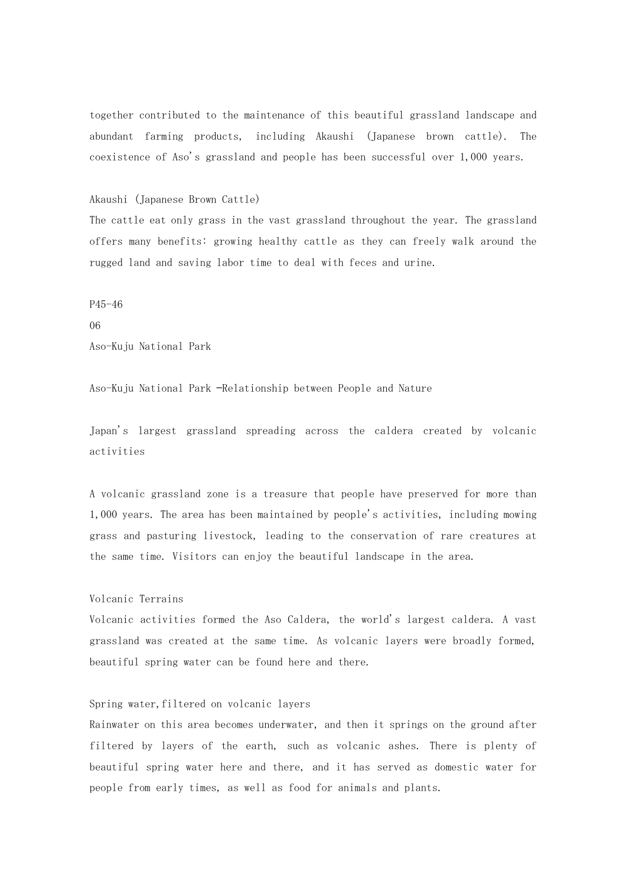together contributed to the maintenance of this beautiful grassland landscape and abundant farming products, including Akaushi (Japanese brown cattle). The coexistence of Aso's grassland and people has been successful over 1,000 years.

#### Akaushi (Japanese Brown Cattle)

The cattle eat only grass in the vast grassland throughout the year. The grassland offers many benefits: growing healthy cattle as they can freely walk around the rugged land and saving labor time to deal with feces and urine.

P45-46 06 Aso-Kuju National Park

Aso-Kuju National Park —Relationship between People and Nature

Japan's largest grassland spreading across the caldera created by volcanic activities

A volcanic grassland zone is a treasure that people have preserved for more than 1,000 years. The area has been maintained by people's activities, including mowing grass and pasturing livestock, leading to the conservation of rare creatures at the same time. Visitors can enjoy the beautiful landscape in the area.

## Volcanic Terrains

Volcanic activities formed the Aso Caldera, the world's largest caldera. A vast grassland was created at the same time. As volcanic layers were broadly formed, beautiful spring water can be found here and there.

#### Spring water, filtered on volcanic layers

Rainwater on this area becomes underwater, and then it springs on the ground after filtered by layers of the earth, such as volcanic ashes. There is plenty of beautiful spring water here and there, and it has served as domestic water for people from early times, as well as food for animals and plants.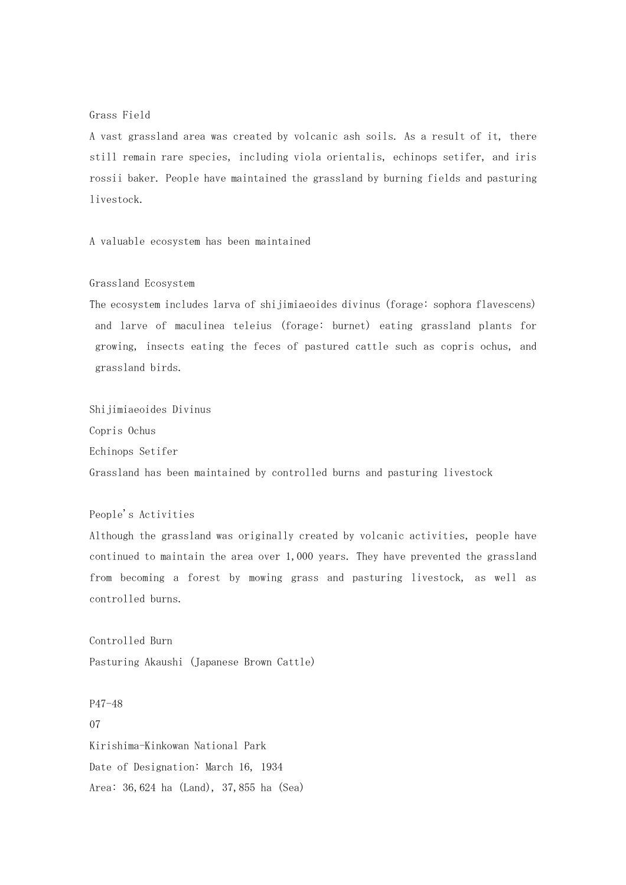Grass Field

A vast grassland area was created by volcanic ash soils. As a result of it, there still remain rare species, including viola orientalis, echinops setifer, and iris rossii baker. People have maintained the grassland by burning fields and pasturing livestock.

A valuable ecosystem has been maintained

## Grassland Ecosystem

The ecosystem includes larva of shijimiaeoides divinus (forage: sophora flavescens) and larve of maculinea teleius (forage: burnet) eating grassland plants for growing, insects eating the feces of pastured cattle such as copris ochus, and grassland birds.

Shijimiaeoides Divinus Copris Ochus Echinops Setifer Grassland has been maintained by controlled burns and pasturing livestock

People's Activities

Although the grassland was originally created by volcanic activities, people have continued to maintain the area over 1,000 years. They have prevented the grassland from becoming a forest by mowing grass and pasturing livestock, as well as controlled burns.

Controlled Burn Pasturing Akaushi (Japanese Brown Cattle)

P47-48 07 Kirishima-Kinkowan National Park Date of Designation: March 16, 1934 Area: 36,624 ha (Land), 37,855 ha (Sea)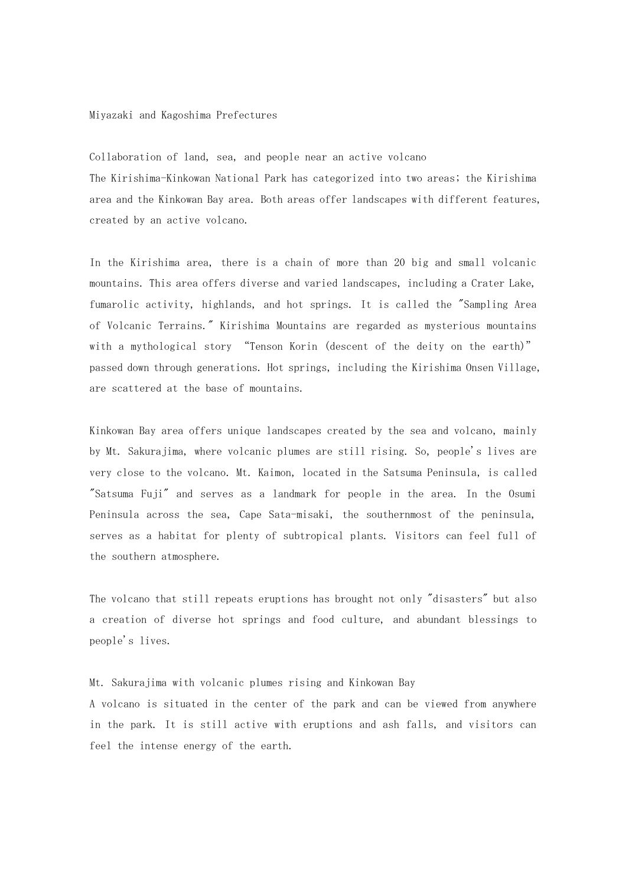#### Miyazaki and Kagoshima Prefectures

Collaboration of land, sea, and people near an active volcano

The Kirishima-Kinkowan National Park has categorized into two areas; the Kirishima area and the Kinkowan Bay area. Both areas offer landscapes with different features, created by an active volcano.

In the Kirishima area, there is a chain of more than 20 big and small volcanic mountains. This area offers diverse and varied landscapes, including a Crater Lake, fumarolic activity, highlands, and hot springs. It is called the "Sampling Area of Volcanic Terrains." Kirishima Mountains are regarded as mysterious mountains with a mythological story "Tenson Korin (descent of the deity on the earth)" passed down through generations. Hot springs, including the Kirishima Onsen Village, are scattered at the base of mountains.

Kinkowan Bay area offers unique landscapes created by the sea and volcano, mainly by Mt. Sakurajima, where volcanic plumes are still rising. So, people's lives are very close to the volcano. Mt. Kaimon, located in the Satsuma Peninsula, is called "Satsuma Fuji" and serves as a landmark for people in the area. In the Osumi Peninsula across the sea, Cape Sata-misaki, the southernmost of the peninsula, serves as a habitat for plenty of subtropical plants. Visitors can feel full of the southern atmosphere.

The volcano that still repeats eruptions has brought not only "disasters" but also a creation of diverse hot springs and food culture, and abundant blessings to people's lives.

### Mt. Sakurajima with volcanic plumes rising and Kinkowan Bay

A volcano is situated in the center of the park and can be viewed from anywhere in the park. It is still active with eruptions and ash falls, and visitors can feel the intense energy of the earth.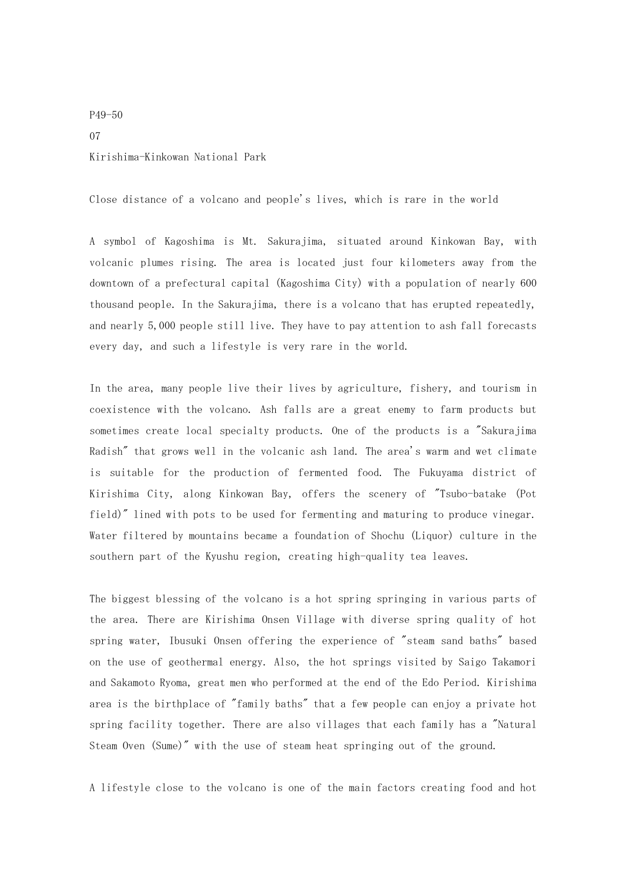# P49-50 07 Kirishima-Kinkowan National Park

Close distance of a volcano and people's lives, which is rare in the world

A symbol of Kagoshima is Mt. Sakurajima, situated around Kinkowan Bay, with volcanic plumes rising. The area is located just four kilometers away from the downtown of a prefectural capital (Kagoshima City) with a population of nearly 600 thousand people. In the Sakurajima, there is a volcano that has erupted repeatedly, and nearly 5,000 people still live. They have to pay attention to ash fall forecasts every day, and such a lifestyle is very rare in the world.

In the area, many people live their lives by agriculture, fishery, and tourism in coexistence with the volcano. Ash falls are a great enemy to farm products but sometimes create local specialty products. One of the products is a "Sakurajima Radish" that grows well in the volcanic ash land. The area's warm and wet climate is suitable for the production of fermented food. The Fukuyama district of Kirishima City, along Kinkowan Bay, offers the scenery of "Tsubo-batake (Pot field)" lined with pots to be used for fermenting and maturing to produce vinegar. Water filtered by mountains became a foundation of Shochu (Liquor) culture in the southern part of the Kyushu region, creating high-quality tea leaves.

The biggest blessing of the volcano is a hot spring springing in various parts of the area. There are Kirishima Onsen Village with diverse spring quality of hot spring water, Ibusuki Onsen offering the experience of "steam sand baths" based on the use of geothermal energy. Also, the hot springs visited by Saigo Takamori and Sakamoto Ryoma, great men who performed at the end of the Edo Period. Kirishima area is the birthplace of "family baths" that a few people can enjoy a private hot spring facility together. There are also villages that each family has a "Natural Steam Oven (Sume)" with the use of steam heat springing out of the ground.

A lifestyle close to the volcano is one of the main factors creating food and hot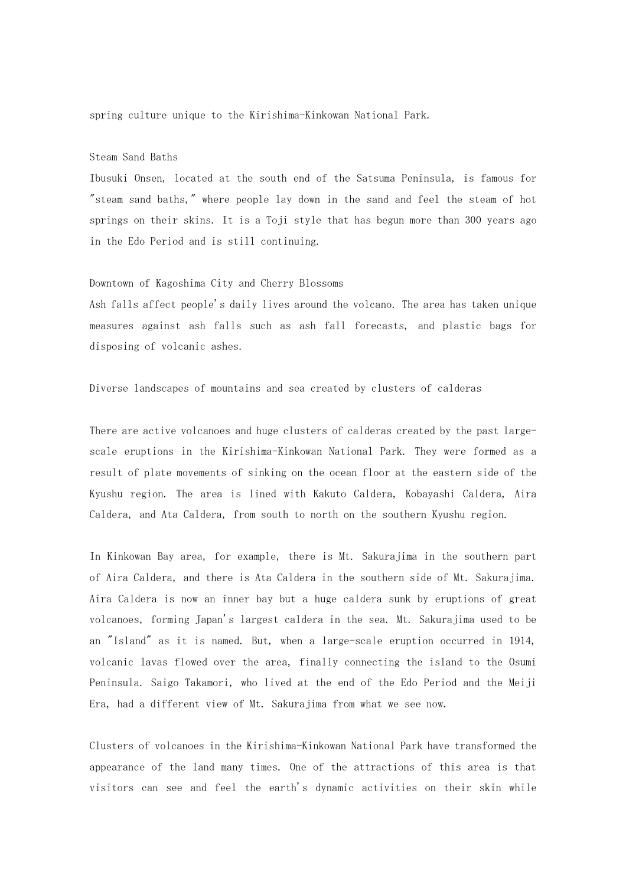spring culture unique to the Kirishima-Kinkowan National Park.

## Steam Sand Baths

Ibusuki Onsen, located at the south end of the Satsuma Peninsula, is famous for "steam sand baths," where people lay down in the sand and feel the steam of hot springs on their skins. It is a Toji style that has begun more than 300 years ago in the Edo Period and is still continuing.

## Downtown of Kagoshima City and Cherry Blossoms

Ash falls affect people's daily lives around the volcano. The area has taken unique measures against ash falls such as ash fall forecasts, and plastic bags for disposing of volcanic ashes.

Diverse landscapes of mountains and sea created by clusters of calderas

There are active volcanoes and huge clusters of calderas created by the past largescale eruptions in the Kirishima-Kinkowan National Park. They were formed as a result of plate movements of sinking on the ocean floor at the eastern side of the Kyushu region. The area is lined with Kakuto Caldera, Kobayashi Caldera, Aira Caldera, and Ata Caldera, from south to north on the southern Kyushu region.

In Kinkowan Bay area, for example, there is Mt. Sakurajima in the southern part of Aira Caldera, and there is Ata Caldera in the southern side of Mt. Sakurajima. Aira Caldera is now an inner bay but a huge caldera sunk by eruptions of great volcanoes, forming Japan's largest caldera in the sea. Mt. Sakurajima used to be an "Island" as it is named. But, when a large-scale eruption occurred in 1914, volcanic lavas flowed over the area, finally connecting the island to the Osumi Peninsula. Saigo Takamori, who lived at the end of the Edo Period and the Meiji Era, had a different view of Mt. Sakurajima from what we see now.

Clusters of volcanoes in the Kirishima-Kinkowan National Park have transformed the appearance of the land many times. One of the attractions of this area is that visitors can see and feel the earth's dynamic activities on their skin while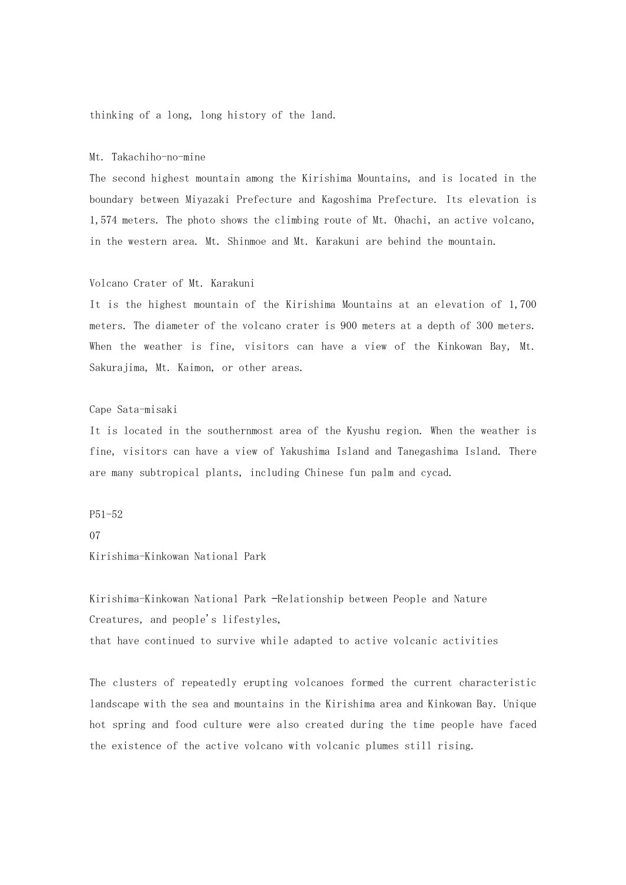thinking of a long, long history of the land.

#### Mt. Takachiho-no-mine

The second highest mountain among the Kirishima Mountains, and is located in the boundary between Miyazaki Prefecture and Kagoshima Prefecture. Its elevation is 1,574 meters. The photo shows the climbing route of Mt. Ohachi, an active volcano, in the western area. Mt. Shinmoe and Mt. Karakuni are behind the mountain.

## Volcano Crater of Mt. Karakuni

It is the highest mountain of the Kirishima Mountains at an elevation of 1,700 meters. The diameter of the volcano crater is 900 meters at a depth of 300 meters. When the weather is fine, visitors can have a view of the Kinkowan Bay, Mt. Sakurajima, Mt. Kaimon, or other areas.

#### Cape Sata-misaki

It is located in the southernmost area of the Kyushu region. When the weather is fine, visitors can have a view of Yakushima Island and Tanegashima Island. There are many subtropical plants, including Chinese fun palm and cycad.

# P51-52

07

Kirishima-Kinkowan National Park

Kirishima-Kinkowan National Park —Relationship between People and Nature Creatures, and people's lifestyles,

that have continued to survive while adapted to active volcanic activities

The clusters of repeatedly erupting volcanoes formed the current characteristic landscape with the sea and mountains in the Kirishima area and Kinkowan Bay. Unique hot spring and food culture were also created during the time people have faced the existence of the active volcano with volcanic plumes still rising.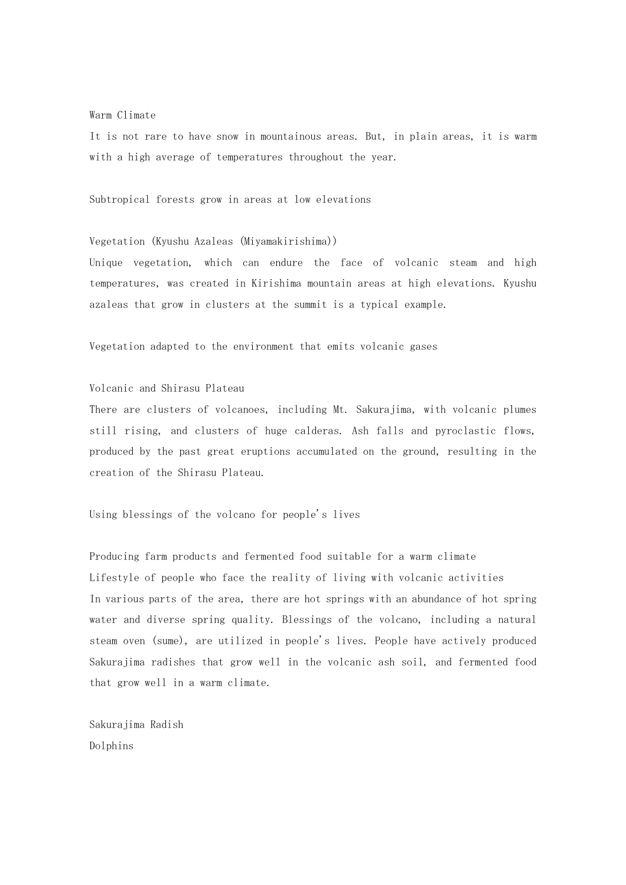#### Warm Climate

It is not rare to have snow in mountainous areas. But, in plain areas, it is warm with a high average of temperatures throughout the year.

Subtropical forests grow in areas at low elevations

#### Vegetation (Kyushu Azaleas (Miyamakirishima))

Unique vegetation, which can endure the face of volcanic steam and high temperatures, was created in Kirishima mountain areas at high elevations. Kyushu azaleas that grow in clusters at the summit is a typical example.

Vegetation adapted to the environment that emits volcanic gases

# Volcanic and Shirasu Plateau

There are clusters of volcanoes, including Mt. Sakurajima, with volcanic plumes still rising, and clusters of huge calderas. Ash falls and pyroclastic flows, produced by the past great eruptions accumulated on the ground, resulting in the creation of the Shirasu Plateau.

Using blessings of the volcano for people's lives

Producing farm products and fermented food suitable for a warm climate Lifestyle of people who face the reality of living with volcanic activities In various parts of the area, there are hot springs with an abundance of hot spring water and diverse spring quality. Blessings of the volcano, including a natural steam oven (sume), are utilized in people's lives. People have actively produced Sakurajima radishes that grow well in the volcanic ash soil, and fermented food that grow well in a warm climate.

Sakurajima Radish Dolphins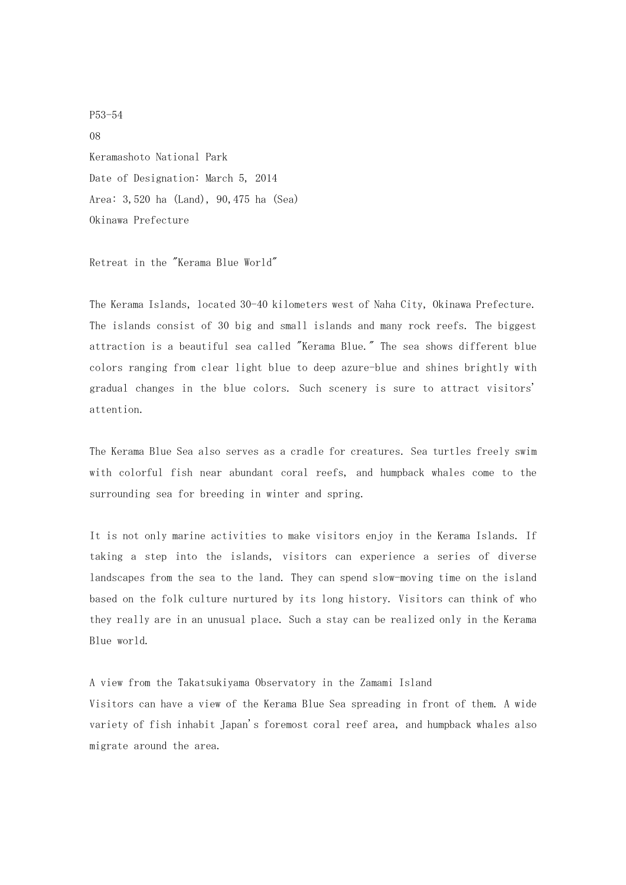P53-54 08 Keramashoto National Park Date of Designation: March 5, 2014 Area: 3,520 ha (Land), 90,475 ha (Sea) Okinawa Prefecture

Retreat in the "Kerama Blue World"

The Kerama Islands, located 30-40 kilometers west of Naha City, Okinawa Prefecture. The islands consist of 30 big and small islands and many rock reefs. The biggest attraction is a beautiful sea called "Kerama Blue." The sea shows different blue colors ranging from clear light blue to deep azure-blue and shines brightly with gradual changes in the blue colors. Such scenery is sure to attract visitors' attention.

The Kerama Blue Sea also serves as a cradle for creatures. Sea turtles freely swim with colorful fish near abundant coral reefs, and humpback whales come to the surrounding sea for breeding in winter and spring.

It is not only marine activities to make visitors enjoy in the Kerama Islands. If taking a step into the islands, visitors can experience a series of diverse landscapes from the sea to the land. They can spend slow-moving time on the island based on the folk culture nurtured by its long history. Visitors can think of who they really are in an unusual place. Such a stay can be realized only in the Kerama Blue world.

A view from the Takatsukiyama Observatory in the Zamami Island

Visitors can have a view of the Kerama Blue Sea spreading in front of them. A wide variety of fish inhabit Japan's foremost coral reef area, and humpback whales also migrate around the area.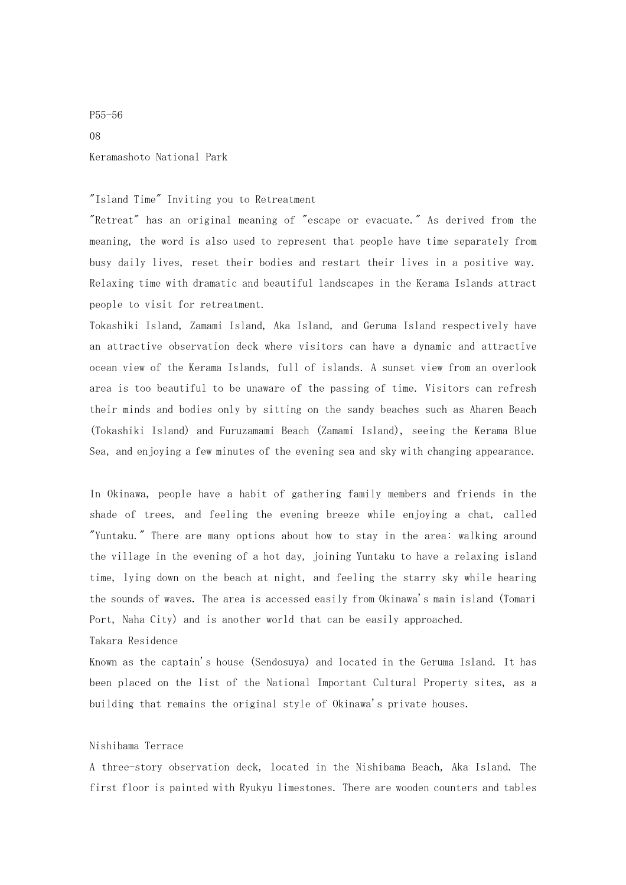# P55-56 08 Keramashoto National Park

# "Island Time" Inviting you to Retreatment

"Retreat" has an original meaning of "escape or evacuate." As derived from the meaning, the word is also used to represent that people have time separately from busy daily lives, reset their bodies and restart their lives in a positive way. Relaxing time with dramatic and beautiful landscapes in the Kerama Islands attract people to visit for retreatment.

Tokashiki Island, Zamami Island, Aka Island, and Geruma Island respectively have an attractive observation deck where visitors can have a dynamic and attractive ocean view of the Kerama Islands, full of islands. A sunset view from an overlook area is too beautiful to be unaware of the passing of time. Visitors can refresh their minds and bodies only by sitting on the sandy beaches such as Aharen Beach (Tokashiki Island) and Furuzamami Beach (Zamami Island), seeing the Kerama Blue Sea, and enjoying a few minutes of the evening sea and sky with changing appearance.

In Okinawa, people have a habit of gathering family members and friends in the shade of trees, and feeling the evening breeze while enjoying a chat, called "Yuntaku." There are many options about how to stay in the area: walking around the village in the evening of a hot day, joining Yuntaku to have a relaxing island time, lying down on the beach at night, and feeling the starry sky while hearing the sounds of waves. The area is accessed easily from Okinawa's main island (Tomari Port, Naha City) and is another world that can be easily approached.

## Takara Residence

Known as the captain's house (Sendosuya) and located in the Geruma Island. It has been placed on the list of the National Important Cultural Property sites, as a building that remains the original style of Okinawa's private houses.

#### Nishibama Terrace

A three-story observation deck, located in the Nishibama Beach, Aka Island. The first floor is painted with Ryukyu limestones. There are wooden counters and tables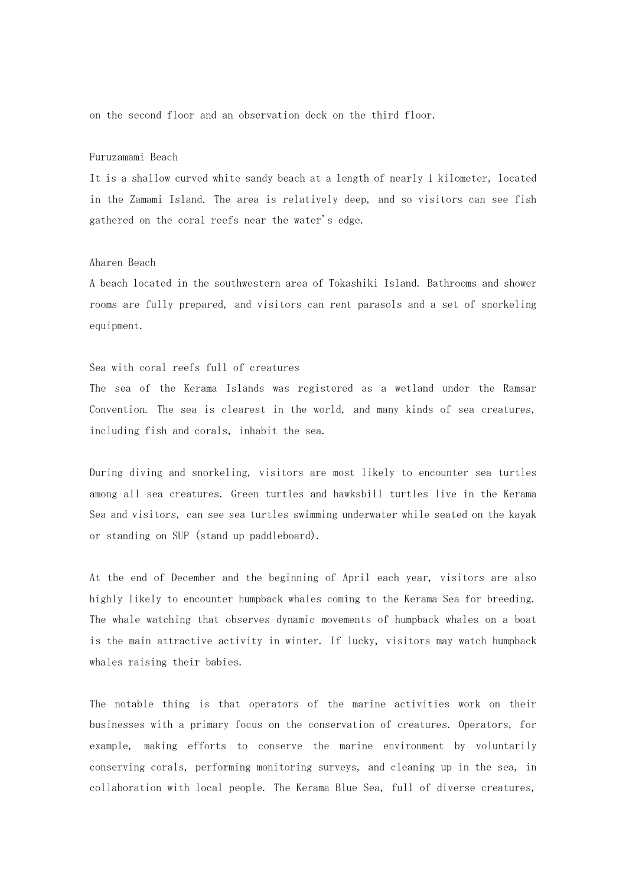on the second floor and an observation deck on the third floor.

#### Furuzamami Beach

It is a shallow curved white sandy beach at a length of nearly 1 kilometer, located in the Zamami Island. The area is relatively deep, and so visitors can see fish gathered on the coral reefs near the water's edge.

### Aharen Beach

A beach located in the southwestern area of Tokashiki Island. Bathrooms and shower rooms are fully prepared, and visitors can rent parasols and a set of snorkeling equipment.

## Sea with coral reefs full of creatures

The sea of the Kerama Islands was registered as a wetland under the Ramsar Convention. The sea is clearest in the world, and many kinds of sea creatures, including fish and corals, inhabit the sea.

During diving and snorkeling, visitors are most likely to encounter sea turtles among all sea creatures. Green turtles and hawksbill turtles live in the Kerama Sea and visitors, can see sea turtles swimming underwater while seated on the kayak or standing on SUP (stand up paddleboard).

At the end of December and the beginning of April each year, visitors are also highly likely to encounter humpback whales coming to the Kerama Sea for breeding. The whale watching that observes dynamic movements of humpback whales on a boat is the main attractive activity in winter. If lucky, visitors may watch humpback whales raising their babies.

The notable thing is that operators of the marine activities work on their businesses with a primary focus on the conservation of creatures. Operators, for example, making efforts to conserve the marine environment by voluntarily conserving corals, performing monitoring surveys, and cleaning up in the sea, in collaboration with local people. The Kerama Blue Sea, full of diverse creatures,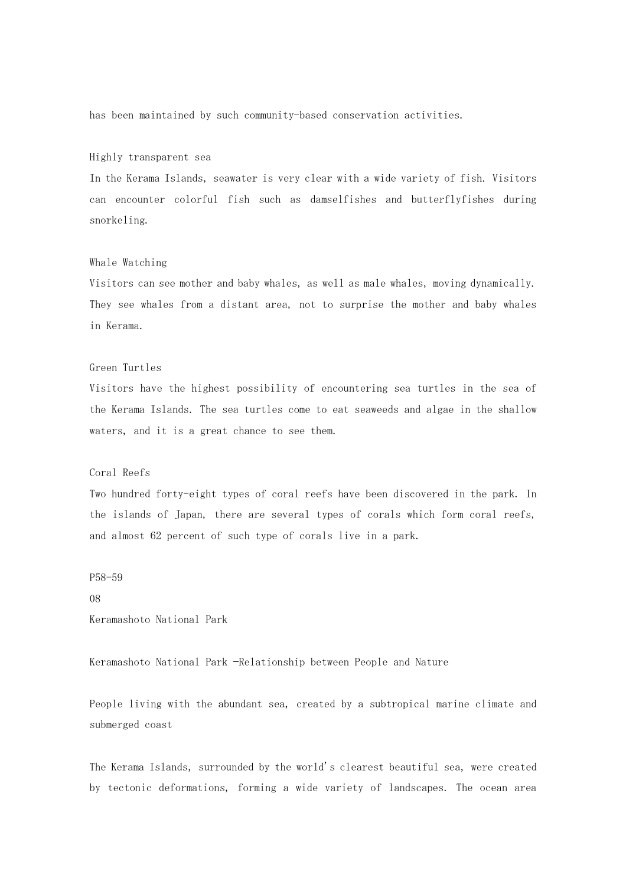has been maintained by such community-based conservation activities.

### Highly transparent sea

In the Kerama Islands, seawater is very clear with a wide variety of fish. Visitors can encounter colorful fish such as damselfishes and butterflyfishes during snorkeling.

## Whale Watching

Visitors can see mother and baby whales, as well as male whales, moving dynamically. They see whales from a distant area, not to surprise the mother and baby whales in Kerama.

#### Green Turtles

Visitors have the highest possibility of encountering sea turtles in the sea of the Kerama Islands. The sea turtles come to eat seaweeds and algae in the shallow waters, and it is a great chance to see them.

## Coral Reefs

Two hundred forty-eight types of coral reefs have been discovered in the park. In the islands of Japan, there are several types of corals which form coral reefs, and almost 62 percent of such type of corals live in a park.

P58-59 08 Keramashoto National Park

Keramashoto National Park —Relationship between People and Nature

People living with the abundant sea, created by a subtropical marine climate and submerged coast

The Kerama Islands, surrounded by the world's clearest beautiful sea, were created by tectonic deformations, forming a wide variety of landscapes. The ocean area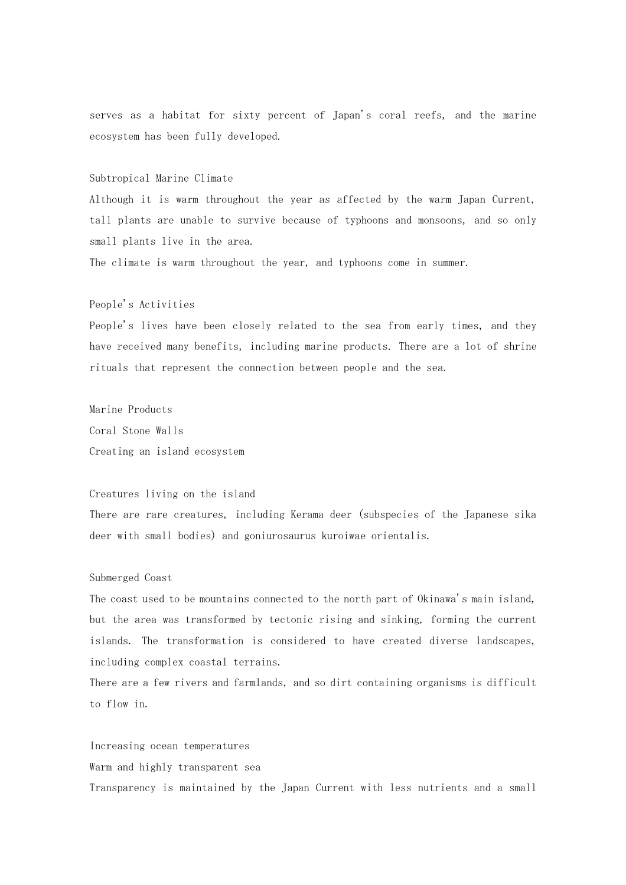serves as a habitat for sixty percent of Japan's coral reefs, and the marine ecosystem has been fully developed.

## Subtropical Marine Climate

Although it is warm throughout the year as affected by the warm Japan Current, tall plants are unable to survive because of typhoons and monsoons, and so only small plants live in the area.

The climate is warm throughout the year, and typhoons come in summer.

## People's Activities

People's lives have been closely related to the sea from early times, and they have received many benefits, including marine products. There are a lot of shrine rituals that represent the connection between people and the sea.

Marine Products Coral Stone Walls Creating an island ecosystem

#### Creatures living on the island

There are rare creatures, including Kerama deer (subspecies of the Japanese sika deer with small bodies) and goniurosaurus kuroiwae orientalis.

#### Submerged Coast

The coast used to be mountains connected to the north part of Okinawa's main island, but the area was transformed by tectonic rising and sinking, forming the current islands. The transformation is considered to have created diverse landscapes, including complex coastal terrains.

There are a few rivers and farmlands, and so dirt containing organisms is difficult to flow in.

Increasing ocean temperatures Warm and highly transparent sea Transparency is maintained by the Japan Current with less nutrients and a small